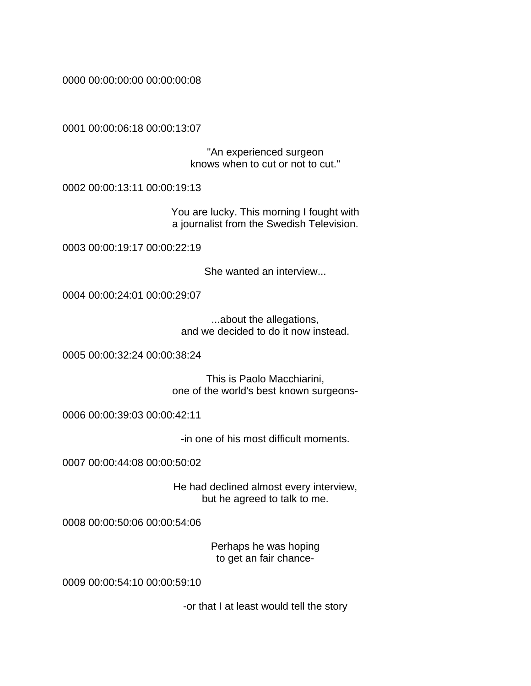0000 00:00:00:00 00:00:00:08

0001 00:00:06:18 00:00:13:07

"An experienced surgeon knows when to cut or not to cut."

0002 00:00:13:11 00:00:19:13

You are lucky. This morning I fought with a journalist from the Swedish Television.

0003 00:00:19:17 00:00:22:19

She wanted an interview...

0004 00:00:24:01 00:00:29:07

...about the allegations, and we decided to do it now instead.

0005 00:00:32:24 00:00:38:24

This is Paolo Macchiarini, one of the world's best known surgeons-

0006 00:00:39:03 00:00:42:11

-in one of his most difficult moments.

0007 00:00:44:08 00:00:50:02

He had declined almost every interview, but he agreed to talk to me.

0008 00:00:50:06 00:00:54:06

Perhaps he was hoping to get an fair chance-

0009 00:00:54:10 00:00:59:10

-or that I at least would tell the story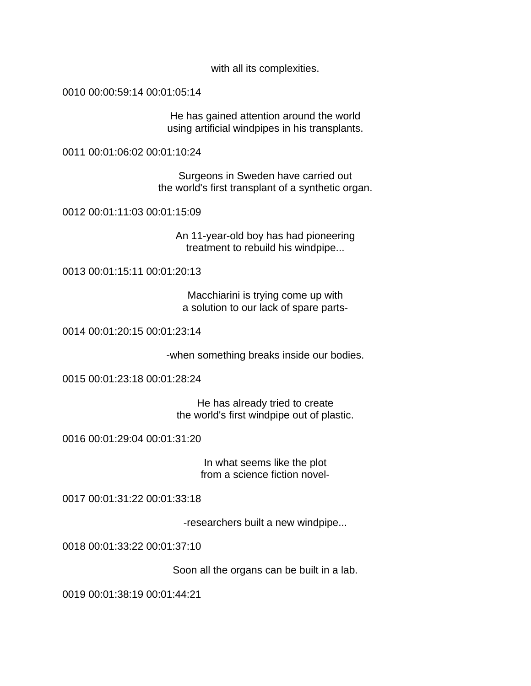with all its complexities.

0010 00:00:59:14 00:01:05:14

He has gained attention around the world using artificial windpipes in his transplants.

0011 00:01:06:02 00:01:10:24

Surgeons in Sweden have carried out the world's first transplant of a synthetic organ.

0012 00:01:11:03 00:01:15:09

An 11-year-old boy has had pioneering treatment to rebuild his windpipe...

0013 00:01:15:11 00:01:20:13

Macchiarini is trying come up with a solution to our lack of spare parts-

0014 00:01:20:15 00:01:23:14

-when something breaks inside our bodies.

0015 00:01:23:18 00:01:28:24

He has already tried to create the world's first windpipe out of plastic.

0016 00:01:29:04 00:01:31:20

In what seems like the plot from a science fiction novel-

0017 00:01:31:22 00:01:33:18

-researchers built a new windpipe...

0018 00:01:33:22 00:01:37:10

Soon all the organs can be built in a lab.

0019 00:01:38:19 00:01:44:21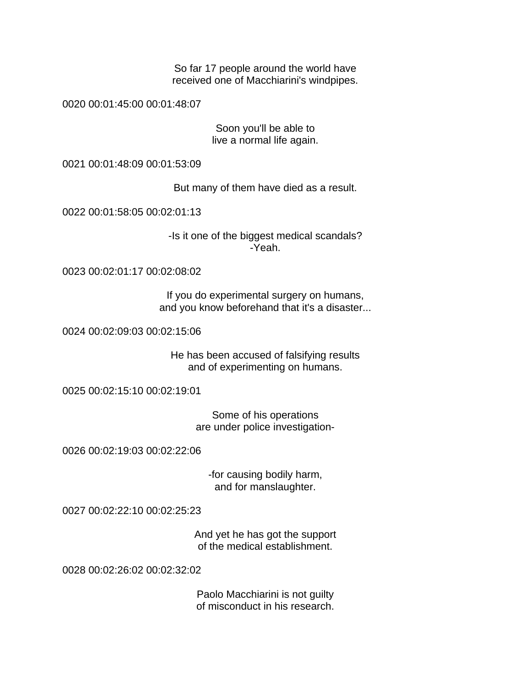So far 17 people around the world have received one of Macchiarini's windpipes.

0020 00:01:45:00 00:01:48:07

Soon you'll be able to live a normal life again.

0021 00:01:48:09 00:01:53:09

But many of them have died as a result.

0022 00:01:58:05 00:02:01:13

-Is it one of the biggest medical scandals? -Yeah.

0023 00:02:01:17 00:02:08:02

If you do experimental surgery on humans, and you know beforehand that it's a disaster...

0024 00:02:09:03 00:02:15:06

He has been accused of falsifying results and of experimenting on humans.

0025 00:02:15:10 00:02:19:01

Some of his operations are under police investigation-

0026 00:02:19:03 00:02:22:06

-for causing bodily harm, and for manslaughter.

0027 00:02:22:10 00:02:25:23

And yet he has got the support of the medical establishment.

0028 00:02:26:02 00:02:32:02

Paolo Macchiarini is not guilty of misconduct in his research.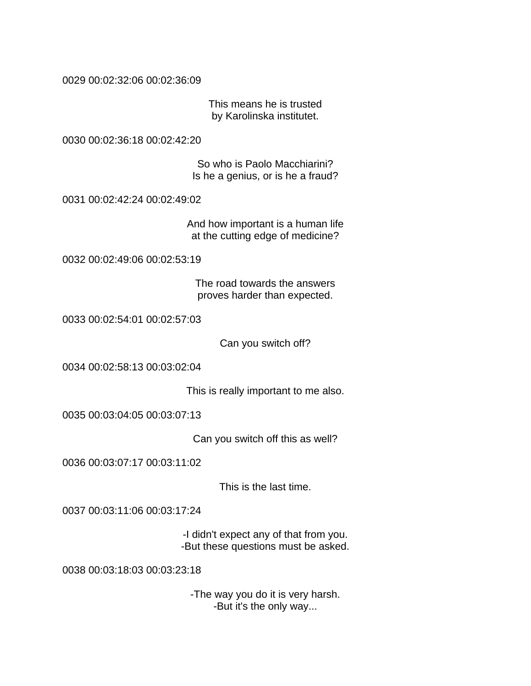0029 00:02:32:06 00:02:36:09

This means he is trusted by Karolinska institutet.

0030 00:02:36:18 00:02:42:20

So who is Paolo Macchiarini? Is he a genius, or is he a fraud?

0031 00:02:42:24 00:02:49:02

And how important is a human life at the cutting edge of medicine?

0032 00:02:49:06 00:02:53:19

The road towards the answers proves harder than expected.

0033 00:02:54:01 00:02:57:03

Can you switch off?

0034 00:02:58:13 00:03:02:04

This is really important to me also.

0035 00:03:04:05 00:03:07:13

Can you switch off this as well?

0036 00:03:07:17 00:03:11:02

This is the last time.

0037 00:03:11:06 00:03:17:24

-I didn't expect any of that from you. -But these questions must be asked.

0038 00:03:18:03 00:03:23:18

-The way you do it is very harsh. -But it's the only way...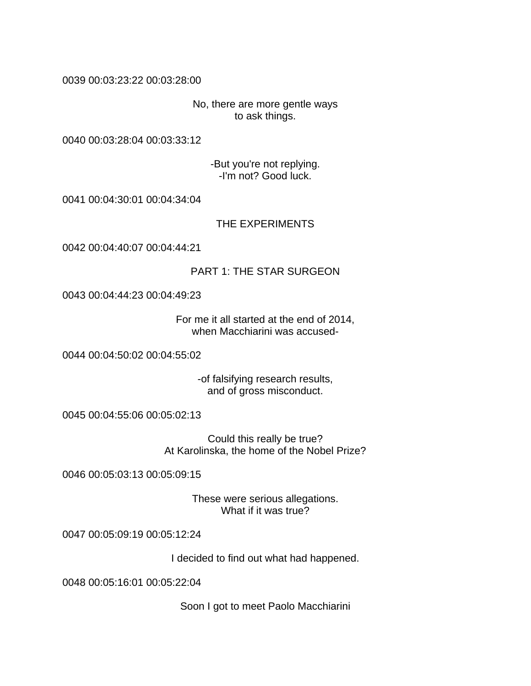## 0039 00:03:23:22 00:03:28:00

No, there are more gentle ways to ask things.

0040 00:03:28:04 00:03:33:12

-But you're not replying. -I'm not? Good luck.

0041 00:04:30:01 00:04:34:04

THE EXPERIMENTS

0042 00:04:40:07 00:04:44:21

## PART 1: THE STAR SURGEON

0043 00:04:44:23 00:04:49:23

For me it all started at the end of 2014, when Macchiarini was accused-

0044 00:04:50:02 00:04:55:02

-of falsifying research results, and of gross misconduct.

0045 00:04:55:06 00:05:02:13

Could this really be true? At Karolinska, the home of the Nobel Prize?

0046 00:05:03:13 00:05:09:15

These were serious allegations. What if it was true?

0047 00:05:09:19 00:05:12:24

I decided to find out what had happened.

0048 00:05:16:01 00:05:22:04

Soon I got to meet Paolo Macchiarini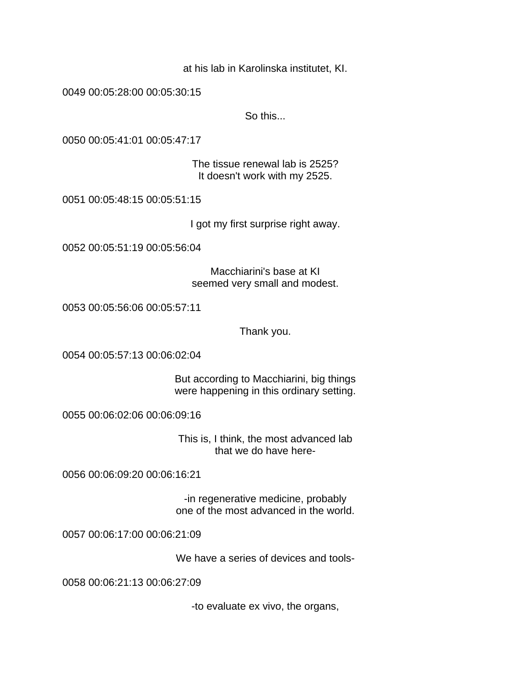at his lab in Karolinska institutet, KI.

0049 00:05:28:00 00:05:30:15

So this...

0050 00:05:41:01 00:05:47:17

The tissue renewal lab is 2525? It doesn't work with my 2525.

0051 00:05:48:15 00:05:51:15

I got my first surprise right away.

0052 00:05:51:19 00:05:56:04

Macchiarini's base at KI seemed very small and modest.

0053 00:05:56:06 00:05:57:11

Thank you.

0054 00:05:57:13 00:06:02:04

But according to Macchiarini, big things were happening in this ordinary setting.

0055 00:06:02:06 00:06:09:16

This is, I think, the most advanced lab that we do have here-

0056 00:06:09:20 00:06:16:21

-in regenerative medicine, probably one of the most advanced in the world.

0057 00:06:17:00 00:06:21:09

We have a series of devices and tools-

0058 00:06:21:13 00:06:27:09

-to evaluate ex vivo, the organs,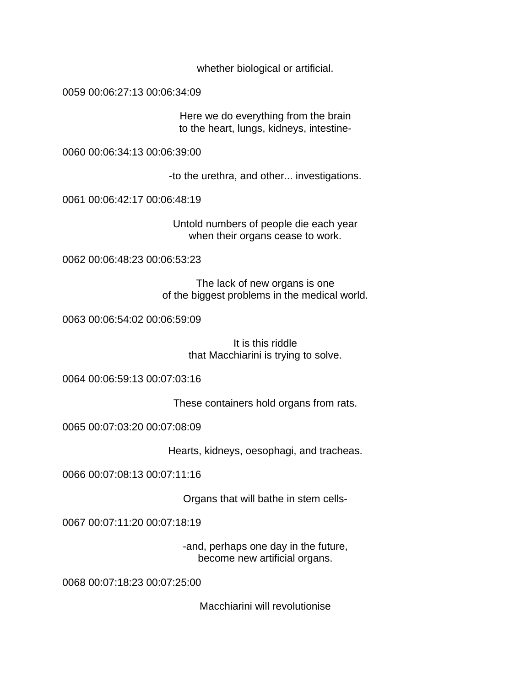whether biological or artificial.

0059 00:06:27:13 00:06:34:09

Here we do everything from the brain to the heart, lungs, kidneys, intestine-

0060 00:06:34:13 00:06:39:00

-to the urethra, and other... investigations.

0061 00:06:42:17 00:06:48:19

Untold numbers of people die each year when their organs cease to work.

0062 00:06:48:23 00:06:53:23

The lack of new organs is one of the biggest problems in the medical world.

0063 00:06:54:02 00:06:59:09

It is this riddle that Macchiarini is trying to solve.

0064 00:06:59:13 00:07:03:16

These containers hold organs from rats.

0065 00:07:03:20 00:07:08:09

Hearts, kidneys, oesophagi, and tracheas.

0066 00:07:08:13 00:07:11:16

Organs that will bathe in stem cells-

0067 00:07:11:20 00:07:18:19

-and, perhaps one day in the future, become new artificial organs.

0068 00:07:18:23 00:07:25:00

Macchiarini will revolutionise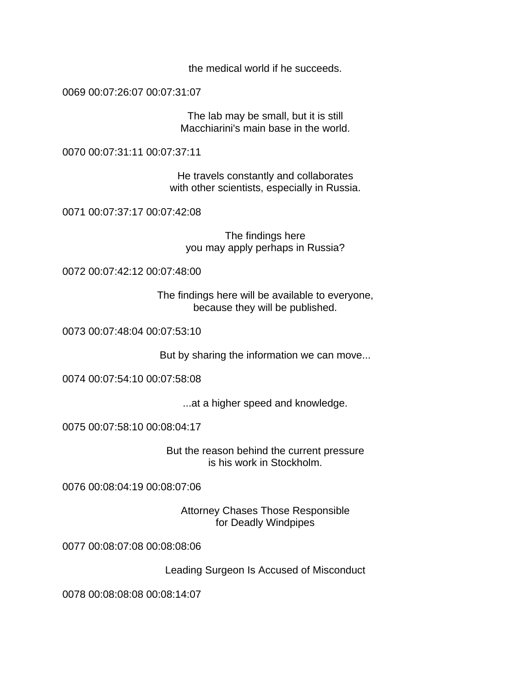the medical world if he succeeds.

0069 00:07:26:07 00:07:31:07

The lab may be small, but it is still Macchiarini's main base in the world.

0070 00:07:31:11 00:07:37:11

He travels constantly and collaborates with other scientists, especially in Russia.

0071 00:07:37:17 00:07:42:08

The findings here you may apply perhaps in Russia?

0072 00:07:42:12 00:07:48:00

The findings here will be available to everyone, because they will be published.

0073 00:07:48:04 00:07:53:10

But by sharing the information we can move...

0074 00:07:54:10 00:07:58:08

...at a higher speed and knowledge.

0075 00:07:58:10 00:08:04:17

But the reason behind the current pressure is his work in Stockholm.

0076 00:08:04:19 00:08:07:06

Attorney Chases Those Responsible for Deadly Windpipes

0077 00:08:07:08 00:08:08:06

Leading Surgeon Is Accused of Misconduct

0078 00:08:08:08 00:08:14:07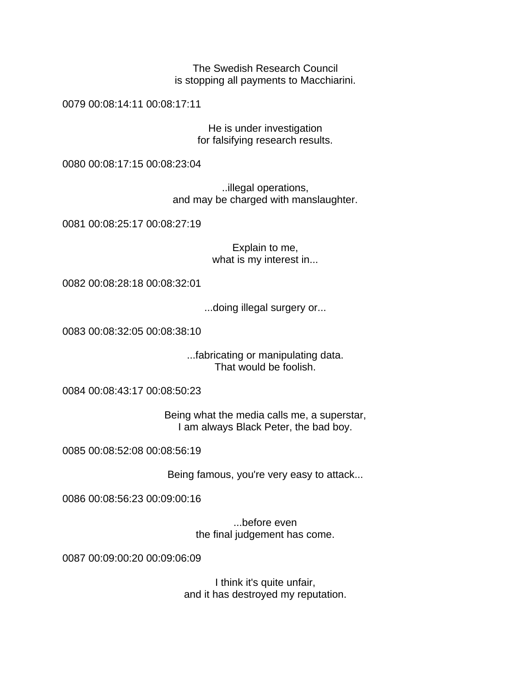The Swedish Research Council is stopping all payments to Macchiarini.

0079 00:08:14:11 00:08:17:11

He is under investigation for falsifying research results.

0080 00:08:17:15 00:08:23:04

..illegal operations, and may be charged with manslaughter.

0081 00:08:25:17 00:08:27:19

Explain to me, what is my interest in...

0082 00:08:28:18 00:08:32:01

...doing illegal surgery or...

0083 00:08:32:05 00:08:38:10

...fabricating or manipulating data. That would be foolish.

0084 00:08:43:17 00:08:50:23

Being what the media calls me, a superstar, I am always Black Peter, the bad boy.

0085 00:08:52:08 00:08:56:19

Being famous, you're very easy to attack...

0086 00:08:56:23 00:09:00:16

...before even the final judgement has come.

0087 00:09:00:20 00:09:06:09

I think it's quite unfair, and it has destroyed my reputation.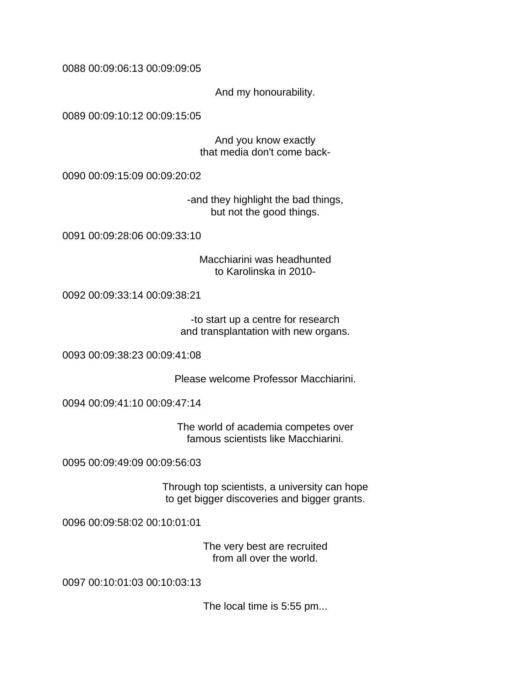0088 00:09:06:13 00:09:09:05

And my honourability.

0089 00:09:10:12 00:09:15:05

And you know exactly that media don't come back-

0090 00:09:15:09 00:09:20:02

-and they highlight the bad things, but not the good things.

0091 00:09:28:06 00:09:33:10

Macchiarini was headhunted to Karolinska in 2010-

0092 00:09:33:14 00:09:38:21

-to start up a centre for research and transplantation with new organs.

0093 00:09:38:23 00:09:41:08

Please welcome Professor Macchiarini.

0094 00:09:41:10 00:09:47:14

The world of academia competes over famous scientists like Macchiarini.

0095 00:09:49:09 00:09:56:03

Through top scientists, a university can hope to get bigger discoveries and bigger grants.

0096 00:09:58:02 00:10:01:01

The very best are recruited from all over the world.

0097 00:10:01:03 00:10:03:13

The local time is 5:55 pm...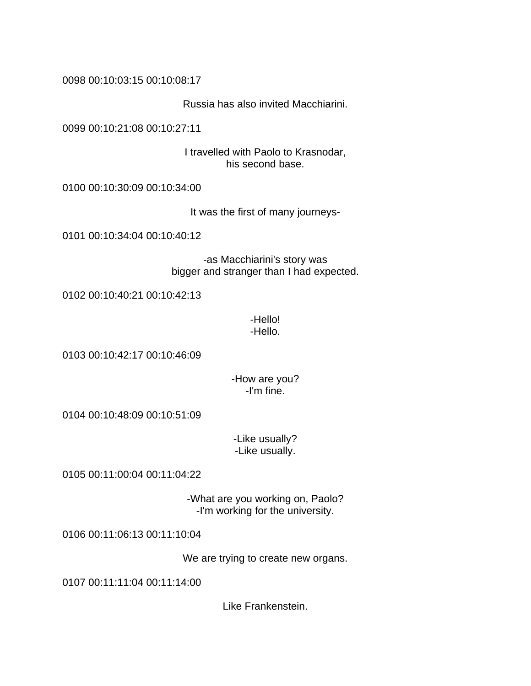0098 00:10:03:15 00:10:08:17

Russia has also invited Macchiarini.

0099 00:10:21:08 00:10:27:11

I travelled with Paolo to Krasnodar, his second base.

0100 00:10:30:09 00:10:34:00

It was the first of many journeys-

0101 00:10:34:04 00:10:40:12

-as Macchiarini's story was bigger and stranger than I had expected.

0102 00:10:40:21 00:10:42:13

-Hello! -Hello.

0103 00:10:42:17 00:10:46:09

-How are you? -I'm fine.

0104 00:10:48:09 00:10:51:09

-Like usually? -Like usually.

0105 00:11:00:04 00:11:04:22

-What are you working on, Paolo? -I'm working for the university.

0106 00:11:06:13 00:11:10:04

We are trying to create new organs.

0107 00:11:11:04 00:11:14:00

Like Frankenstein.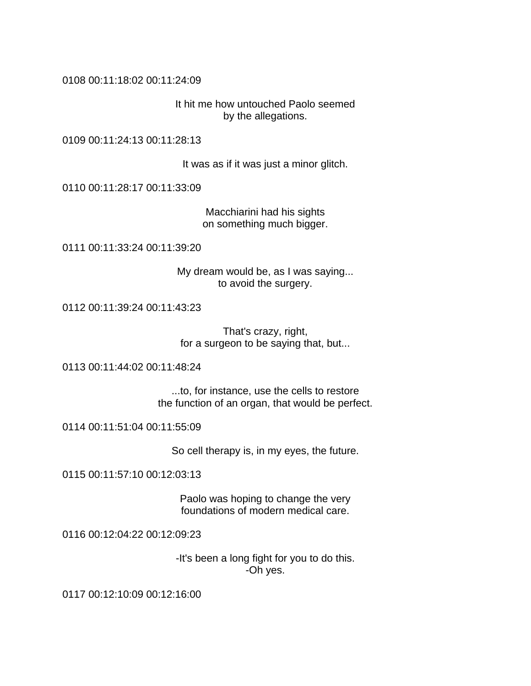## 0108 00:11:18:02 00:11:24:09

It hit me how untouched Paolo seemed by the allegations.

0109 00:11:24:13 00:11:28:13

It was as if it was just a minor glitch.

0110 00:11:28:17 00:11:33:09

Macchiarini had his sights on something much bigger.

0111 00:11:33:24 00:11:39:20

My dream would be, as I was saying... to avoid the surgery.

0112 00:11:39:24 00:11:43:23

That's crazy, right, for a surgeon to be saying that, but...

0113 00:11:44:02 00:11:48:24

...to, for instance, use the cells to restore the function of an organ, that would be perfect.

0114 00:11:51:04 00:11:55:09

So cell therapy is, in my eyes, the future.

0115 00:11:57:10 00:12:03:13

Paolo was hoping to change the very foundations of modern medical care.

0116 00:12:04:22 00:12:09:23

-It's been a long fight for you to do this. -Oh yes.

0117 00:12:10:09 00:12:16:00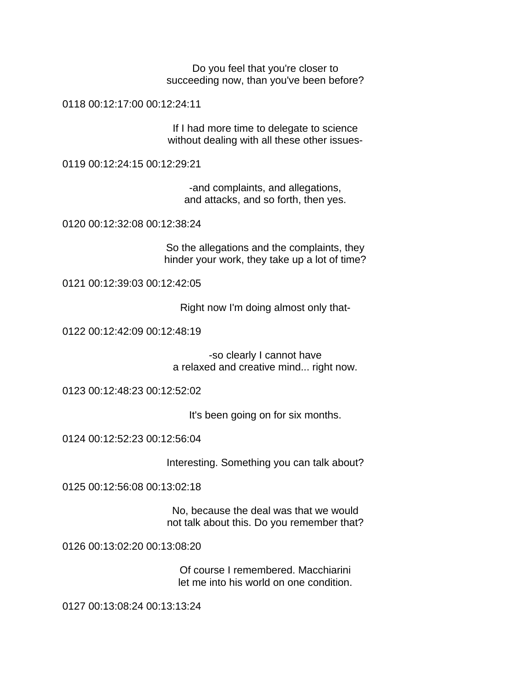Do you feel that you're closer to succeeding now, than you've been before?

0118 00:12:17:00 00:12:24:11

If I had more time to delegate to science without dealing with all these other issues-

0119 00:12:24:15 00:12:29:21

-and complaints, and allegations, and attacks, and so forth, then yes.

0120 00:12:32:08 00:12:38:24

So the allegations and the complaints, they hinder your work, they take up a lot of time?

0121 00:12:39:03 00:12:42:05

Right now I'm doing almost only that-

0122 00:12:42:09 00:12:48:19

-so clearly I cannot have a relaxed and creative mind... right now.

0123 00:12:48:23 00:12:52:02

It's been going on for six months.

0124 00:12:52:23 00:12:56:04

Interesting. Something you can talk about?

0125 00:12:56:08 00:13:02:18

No, because the deal was that we would not talk about this. Do you remember that?

0126 00:13:02:20 00:13:08:20

Of course I remembered. Macchiarini let me into his world on one condition.

0127 00:13:08:24 00:13:13:24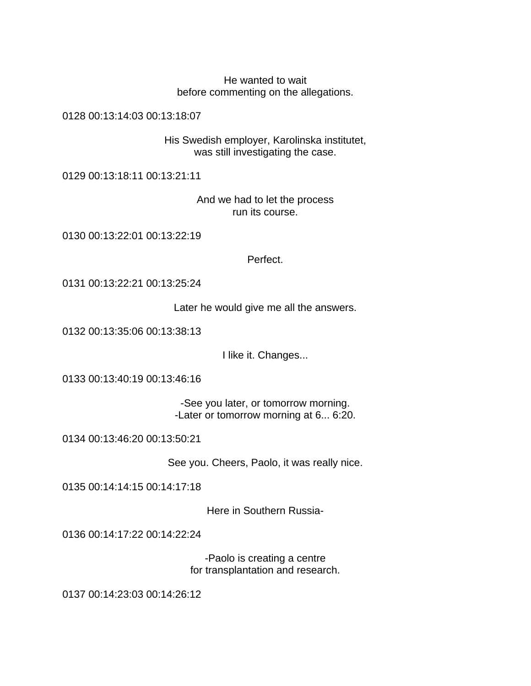He wanted to wait before commenting on the allegations.

0128 00:13:14:03 00:13:18:07

His Swedish employer, Karolinska institutet, was still investigating the case.

0129 00:13:18:11 00:13:21:11

And we had to let the process run its course.

0130 00:13:22:01 00:13:22:19

Perfect.

0131 00:13:22:21 00:13:25:24

Later he would give me all the answers.

0132 00:13:35:06 00:13:38:13

I like it. Changes...

0133 00:13:40:19 00:13:46:16

-See you later, or tomorrow morning. -Later or tomorrow morning at 6... 6:20.

0134 00:13:46:20 00:13:50:21

See you. Cheers, Paolo, it was really nice.

0135 00:14:14:15 00:14:17:18

Here in Southern Russia-

0136 00:14:17:22 00:14:22:24

-Paolo is creating a centre for transplantation and research.

0137 00:14:23:03 00:14:26:12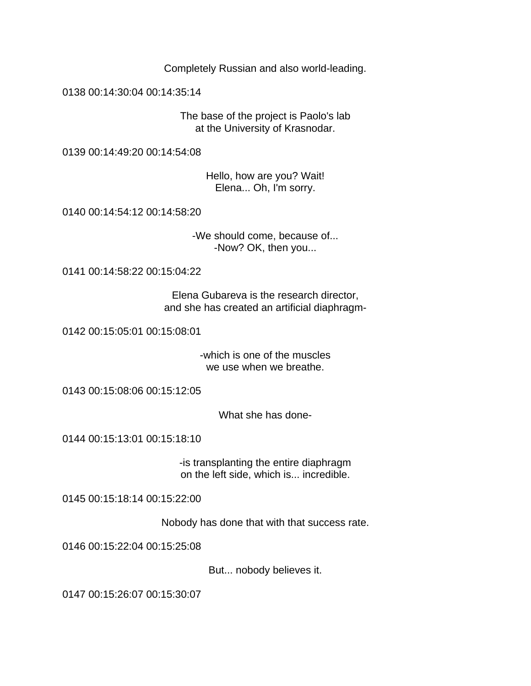Completely Russian and also world-leading.

0138 00:14:30:04 00:14:35:14

The base of the project is Paolo's lab at the University of Krasnodar.

0139 00:14:49:20 00:14:54:08

Hello, how are you? Wait! Elena... Oh, I'm sorry.

0140 00:14:54:12 00:14:58:20

-We should come, because of... -Now? OK, then you...

0141 00:14:58:22 00:15:04:22

Elena Gubareva is the research director, and she has created an artificial diaphragm-

0142 00:15:05:01 00:15:08:01

-which is one of the muscles we use when we breathe.

0143 00:15:08:06 00:15:12:05

What she has done-

0144 00:15:13:01 00:15:18:10

-is transplanting the entire diaphragm on the left side, which is... incredible.

0145 00:15:18:14 00:15:22:00

Nobody has done that with that success rate.

0146 00:15:22:04 00:15:25:08

But... nobody believes it.

0147 00:15:26:07 00:15:30:07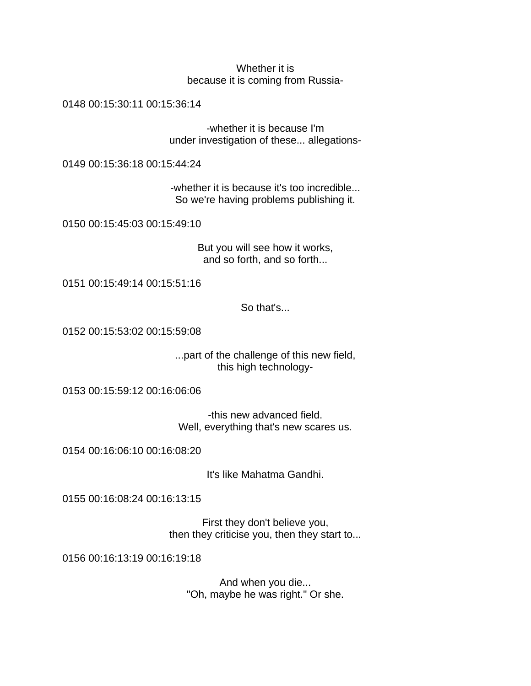## Whether it is because it is coming from Russia-

0148 00:15:30:11 00:15:36:14

-whether it is because I'm under investigation of these... allegations-

0149 00:15:36:18 00:15:44:24

-whether it is because it's too incredible... So we're having problems publishing it.

0150 00:15:45:03 00:15:49:10

But you will see how it works, and so forth, and so forth...

0151 00:15:49:14 00:15:51:16

So that's...

0152 00:15:53:02 00:15:59:08

...part of the challenge of this new field, this high technology-

0153 00:15:59:12 00:16:06:06

-this new advanced field. Well, everything that's new scares us.

0154 00:16:06:10 00:16:08:20

It's like Mahatma Gandhi.

0155 00:16:08:24 00:16:13:15

First they don't believe you, then they criticise you, then they start to...

0156 00:16:13:19 00:16:19:18

And when you die... "Oh, maybe he was right." Or she.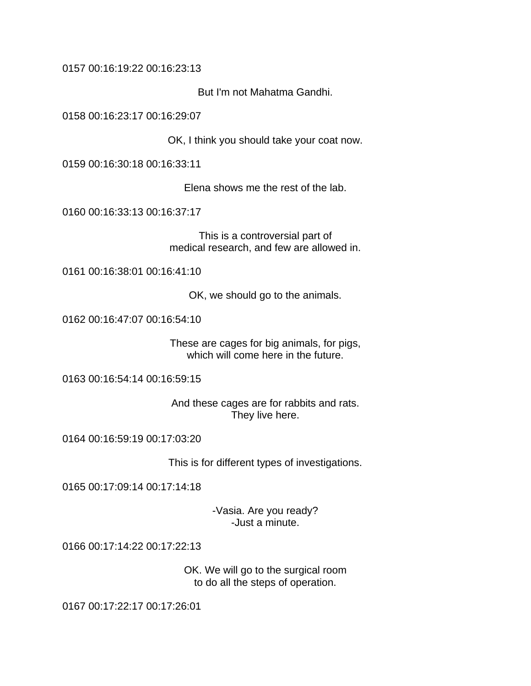0157 00:16:19:22 00:16:23:13

But I'm not Mahatma Gandhi.

0158 00:16:23:17 00:16:29:07

OK, I think you should take your coat now.

0159 00:16:30:18 00:16:33:11

Elena shows me the rest of the lab.

0160 00:16:33:13 00:16:37:17

This is a controversial part of medical research, and few are allowed in.

0161 00:16:38:01 00:16:41:10

OK, we should go to the animals.

0162 00:16:47:07 00:16:54:10

These are cages for big animals, for pigs, which will come here in the future.

0163 00:16:54:14 00:16:59:15

And these cages are for rabbits and rats. They live here.

0164 00:16:59:19 00:17:03:20

This is for different types of investigations.

0165 00:17:09:14 00:17:14:18

-Vasia. Are you ready? -Just a minute.

0166 00:17:14:22 00:17:22:13

OK. We will go to the surgical room to do all the steps of operation.

0167 00:17:22:17 00:17:26:01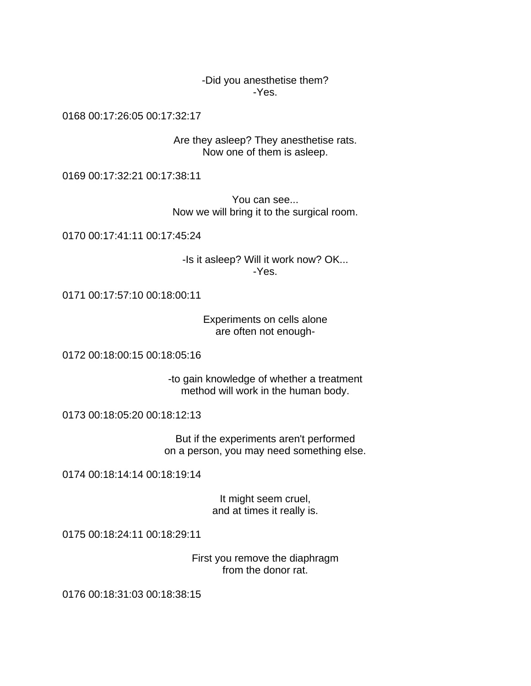-Did you anesthetise them? -Yes.

0168 00:17:26:05 00:17:32:17

Are they asleep? They anesthetise rats. Now one of them is asleep.

0169 00:17:32:21 00:17:38:11

You can see... Now we will bring it to the surgical room.

0170 00:17:41:11 00:17:45:24

-Is it asleep? Will it work now? OK... -Yes.

0171 00:17:57:10 00:18:00:11

Experiments on cells alone are often not enough-

0172 00:18:00:15 00:18:05:16

-to gain knowledge of whether a treatment method will work in the human body.

0173 00:18:05:20 00:18:12:13

But if the experiments aren't performed on a person, you may need something else.

0174 00:18:14:14 00:18:19:14

It might seem cruel, and at times it really is.

0175 00:18:24:11 00:18:29:11

First you remove the diaphragm from the donor rat.

0176 00:18:31:03 00:18:38:15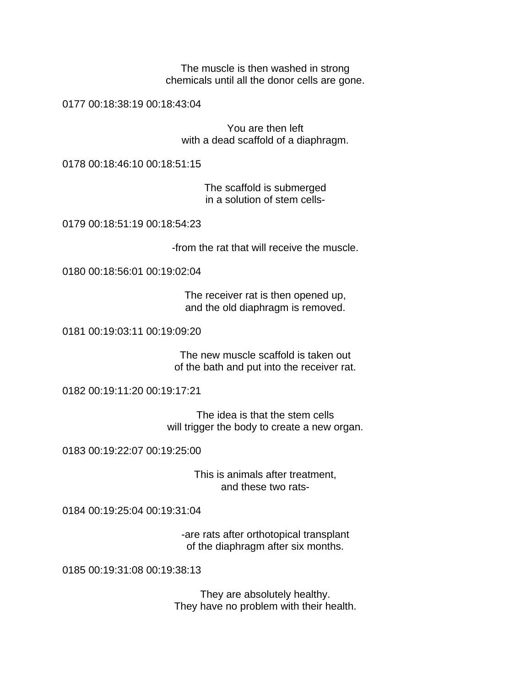The muscle is then washed in strong chemicals until all the donor cells are gone.

0177 00:18:38:19 00:18:43:04

You are then left with a dead scaffold of a diaphragm.

0178 00:18:46:10 00:18:51:15

The scaffold is submerged in a solution of stem cells-

0179 00:18:51:19 00:18:54:23

-from the rat that will receive the muscle.

0180 00:18:56:01 00:19:02:04

The receiver rat is then opened up, and the old diaphragm is removed.

0181 00:19:03:11 00:19:09:20

The new muscle scaffold is taken out of the bath and put into the receiver rat.

0182 00:19:11:20 00:19:17:21

The idea is that the stem cells will trigger the body to create a new organ.

0183 00:19:22:07 00:19:25:00

This is animals after treatment, and these two rats-

0184 00:19:25:04 00:19:31:04

-are rats after orthotopical transplant of the diaphragm after six months.

0185 00:19:31:08 00:19:38:13

They are absolutely healthy. They have no problem with their health.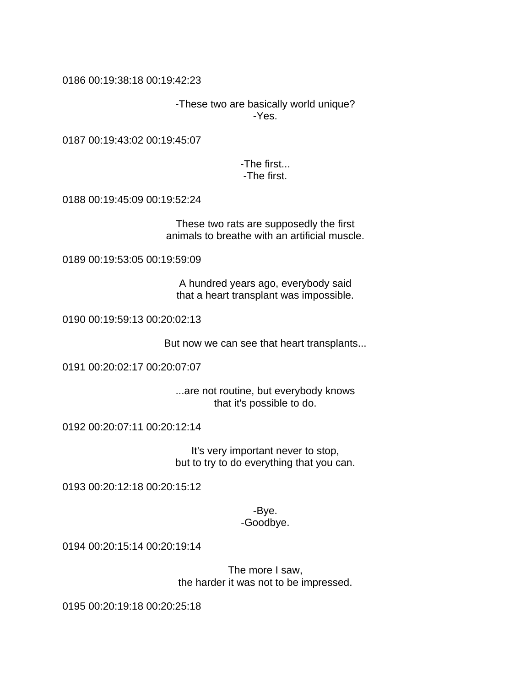0186 00:19:38:18 00:19:42:23

-These two are basically world unique? -Yes.

0187 00:19:43:02 00:19:45:07

-The first... -The first.

0188 00:19:45:09 00:19:52:24

These two rats are supposedly the first animals to breathe with an artificial muscle.

0189 00:19:53:05 00:19:59:09

A hundred years ago, everybody said that a heart transplant was impossible.

0190 00:19:59:13 00:20:02:13

But now we can see that heart transplants...

0191 00:20:02:17 00:20:07:07

...are not routine, but everybody knows that it's possible to do.

0192 00:20:07:11 00:20:12:14

It's very important never to stop, but to try to do everything that you can.

0193 00:20:12:18 00:20:15:12

-Bye. -Goodbye.

0194 00:20:15:14 00:20:19:14

The more I saw, the harder it was not to be impressed.

0195 00:20:19:18 00:20:25:18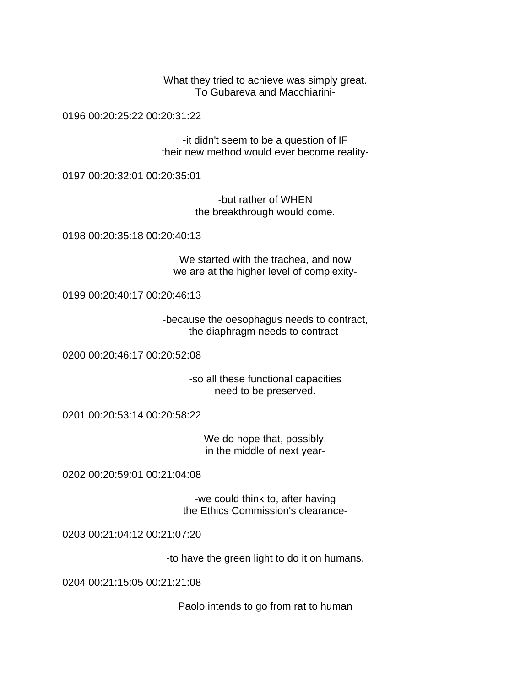What they tried to achieve was simply great. To Gubareva and Macchiarini-

0196 00:20:25:22 00:20:31:22

-it didn't seem to be a question of IF their new method would ever become reality-

0197 00:20:32:01 00:20:35:01

-but rather of WHEN the breakthrough would come.

0198 00:20:35:18 00:20:40:13

We started with the trachea, and now we are at the higher level of complexity-

0199 00:20:40:17 00:20:46:13

-because the oesophagus needs to contract, the diaphragm needs to contract-

0200 00:20:46:17 00:20:52:08

-so all these functional capacities need to be preserved.

0201 00:20:53:14 00:20:58:22

We do hope that, possibly, in the middle of next year-

0202 00:20:59:01 00:21:04:08

-we could think to, after having the Ethics Commission's clearance-

0203 00:21:04:12 00:21:07:20

-to have the green light to do it on humans.

0204 00:21:15:05 00:21:21:08

Paolo intends to go from rat to human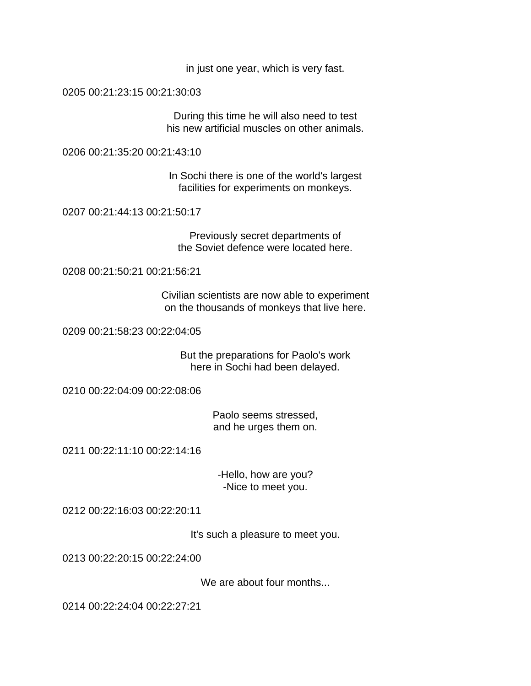in just one year, which is very fast.

0205 00:21:23:15 00:21:30:03

During this time he will also need to test his new artificial muscles on other animals.

0206 00:21:35:20 00:21:43:10

In Sochi there is one of the world's largest facilities for experiments on monkeys.

0207 00:21:44:13 00:21:50:17

Previously secret departments of the Soviet defence were located here.

0208 00:21:50:21 00:21:56:21

Civilian scientists are now able to experiment on the thousands of monkeys that live here.

0209 00:21:58:23 00:22:04:05

But the preparations for Paolo's work here in Sochi had been delayed.

0210 00:22:04:09 00:22:08:06

Paolo seems stressed, and he urges them on.

0211 00:22:11:10 00:22:14:16

-Hello, how are you? -Nice to meet you.

0212 00:22:16:03 00:22:20:11

It's such a pleasure to meet you.

0213 00:22:20:15 00:22:24:00

We are about four months...

0214 00:22:24:04 00:22:27:21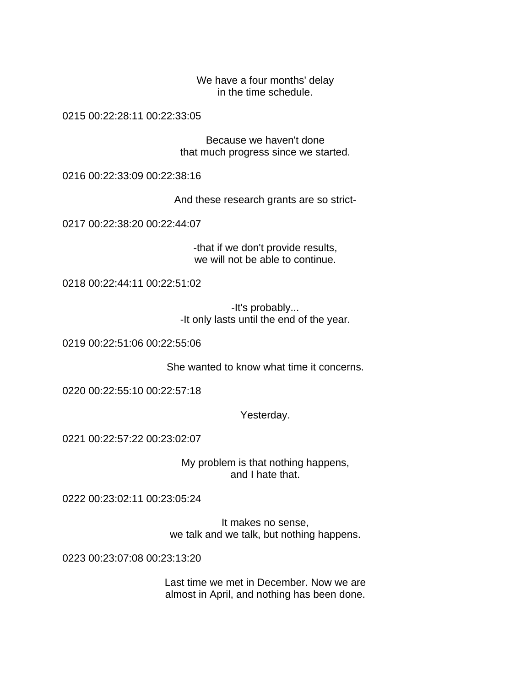We have a four months' delay in the time schedule.

0215 00:22:28:11 00:22:33:05

Because we haven't done that much progress since we started.

0216 00:22:33:09 00:22:38:16

And these research grants are so strict-

0217 00:22:38:20 00:22:44:07

-that if we don't provide results, we will not be able to continue.

0218 00:22:44:11 00:22:51:02

-It's probably... -It only lasts until the end of the year.

0219 00:22:51:06 00:22:55:06

She wanted to know what time it concerns.

0220 00:22:55:10 00:22:57:18

Yesterday.

0221 00:22:57:22 00:23:02:07

My problem is that nothing happens, and I hate that.

0222 00:23:02:11 00:23:05:24

It makes no sense, we talk and we talk, but nothing happens.

0223 00:23:07:08 00:23:13:20

Last time we met in December. Now we are almost in April, and nothing has been done.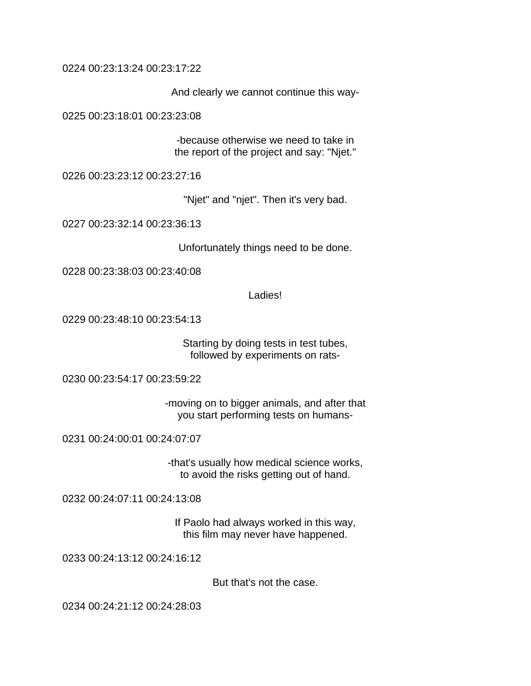0224 00:23:13:24 00:23:17:22

And clearly we cannot continue this way-

0225 00:23:18:01 00:23:23:08

-because otherwise we need to take in the report of the project and say: "Njet."

0226 00:23:23:12 00:23:27:16

"Njet" and "njet". Then it's very bad.

0227 00:23:32:14 00:23:36:13

Unfortunately things need to be done.

0228 00:23:38:03 00:23:40:08

Ladies!

0229 00:23:48:10 00:23:54:13

Starting by doing tests in test tubes, followed by experiments on rats-

0230 00:23:54:17 00:23:59:22

-moving on to bigger animals, and after that you start performing tests on humans-

0231 00:24:00:01 00:24:07:07

-that's usually how medical science works, to avoid the risks getting out of hand.

0232 00:24:07:11 00:24:13:08

If Paolo had always worked in this way, this film may never have happened.

0233 00:24:13:12 00:24:16:12

But that's not the case.

0234 00:24:21:12 00:24:28:03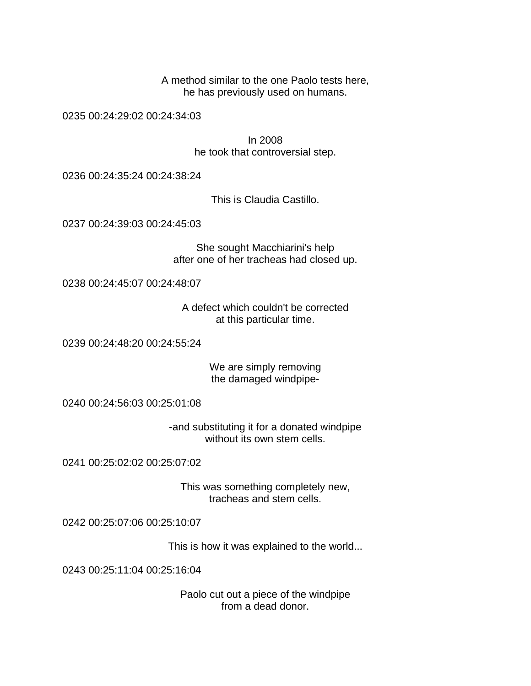A method similar to the one Paolo tests here, he has previously used on humans.

0235 00:24:29:02 00:24:34:03

In 2008 he took that controversial step.

0236 00:24:35:24 00:24:38:24

This is Claudia Castillo.

0237 00:24:39:03 00:24:45:03

She sought Macchiarini's help after one of her tracheas had closed up.

0238 00:24:45:07 00:24:48:07

A defect which couldn't be corrected at this particular time.

0239 00:24:48:20 00:24:55:24

We are simply removing the damaged windpipe-

0240 00:24:56:03 00:25:01:08

-and substituting it for a donated windpipe without its own stem cells.

0241 00:25:02:02 00:25:07:02

This was something completely new, tracheas and stem cells.

0242 00:25:07:06 00:25:10:07

This is how it was explained to the world...

0243 00:25:11:04 00:25:16:04

Paolo cut out a piece of the windpipe from a dead donor.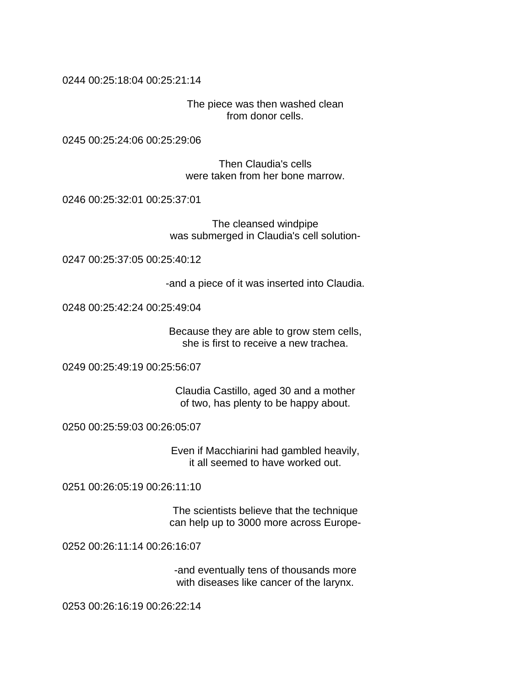0244 00:25:18:04 00:25:21:14

The piece was then washed clean from donor cells.

0245 00:25:24:06 00:25:29:06

Then Claudia's cells were taken from her bone marrow.

0246 00:25:32:01 00:25:37:01

The cleansed windpipe was submerged in Claudia's cell solution-

0247 00:25:37:05 00:25:40:12

-and a piece of it was inserted into Claudia.

0248 00:25:42:24 00:25:49:04

Because they are able to grow stem cells, she is first to receive a new trachea.

0249 00:25:49:19 00:25:56:07

Claudia Castillo, aged 30 and a mother of two, has plenty to be happy about.

0250 00:25:59:03 00:26:05:07

Even if Macchiarini had gambled heavily, it all seemed to have worked out.

0251 00:26:05:19 00:26:11:10

The scientists believe that the technique can help up to 3000 more across Europe-

0252 00:26:11:14 00:26:16:07

-and eventually tens of thousands more with diseases like cancer of the larynx.

0253 00:26:16:19 00:26:22:14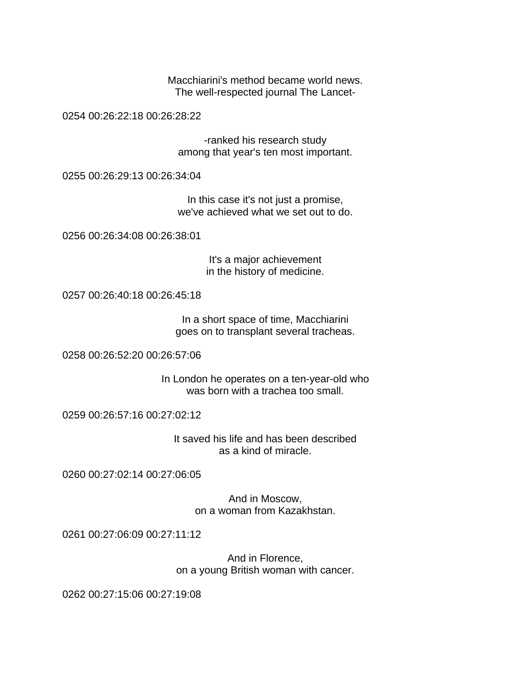Macchiarini's method became world news. The well-respected journal The Lancet-

0254 00:26:22:18 00:26:28:22

-ranked his research study among that year's ten most important.

0255 00:26:29:13 00:26:34:04

In this case it's not just a promise, we've achieved what we set out to do.

0256 00:26:34:08 00:26:38:01

It's a major achievement in the history of medicine.

0257 00:26:40:18 00:26:45:18

In a short space of time, Macchiarini goes on to transplant several tracheas.

0258 00:26:52:20 00:26:57:06

In London he operates on a ten-year-old who was born with a trachea too small.

0259 00:26:57:16 00:27:02:12

It saved his life and has been described as a kind of miracle.

0260 00:27:02:14 00:27:06:05

And in Moscow, on a woman from Kazakhstan.

0261 00:27:06:09 00:27:11:12

And in Florence, on a young British woman with cancer.

0262 00:27:15:06 00:27:19:08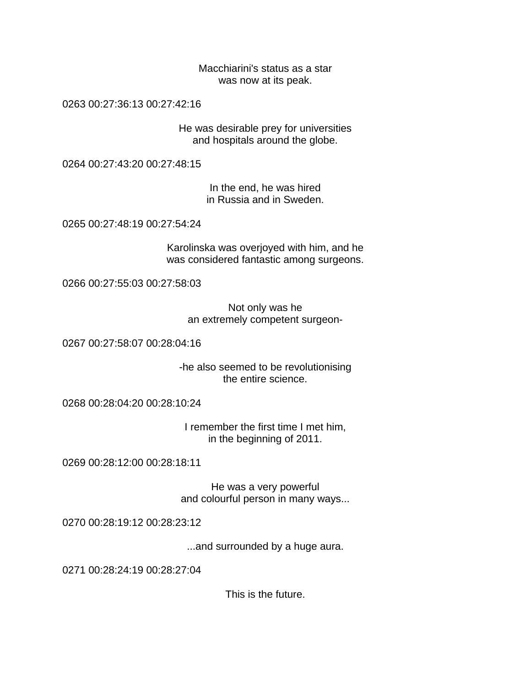Macchiarini's status as a star was now at its peak.

0263 00:27:36:13 00:27:42:16

He was desirable prey for universities and hospitals around the globe.

0264 00:27:43:20 00:27:48:15

In the end, he was hired in Russia and in Sweden.

0265 00:27:48:19 00:27:54:24

Karolinska was overjoyed with him, and he was considered fantastic among surgeons.

0266 00:27:55:03 00:27:58:03

Not only was he an extremely competent surgeon-

0267 00:27:58:07 00:28:04:16

-he also seemed to be revolutionising the entire science.

0268 00:28:04:20 00:28:10:24

I remember the first time I met him, in the beginning of 2011.

0269 00:28:12:00 00:28:18:11

He was a very powerful and colourful person in many ways...

0270 00:28:19:12 00:28:23:12

...and surrounded by a huge aura.

0271 00:28:24:19 00:28:27:04

This is the future.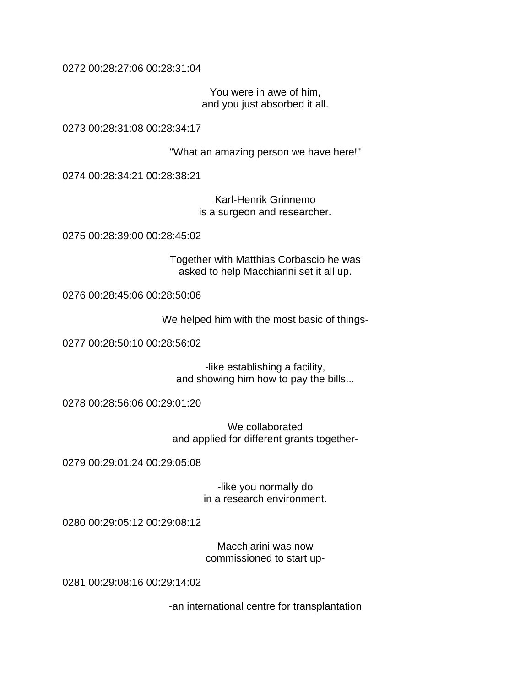0272 00:28:27:06 00:28:31:04

You were in awe of him, and you just absorbed it all.

0273 00:28:31:08 00:28:34:17

"What an amazing person we have here!"

0274 00:28:34:21 00:28:38:21

Karl-Henrik Grinnemo is a surgeon and researcher.

0275 00:28:39:00 00:28:45:02

Together with Matthias Corbascio he was asked to help Macchiarini set it all up.

0276 00:28:45:06 00:28:50:06

We helped him with the most basic of things-

0277 00:28:50:10 00:28:56:02

-like establishing a facility, and showing him how to pay the bills...

0278 00:28:56:06 00:29:01:20

We collaborated and applied for different grants together-

0279 00:29:01:24 00:29:05:08

-like you normally do in a research environment.

0280 00:29:05:12 00:29:08:12

Macchiarini was now commissioned to start up-

0281 00:29:08:16 00:29:14:02

-an international centre for transplantation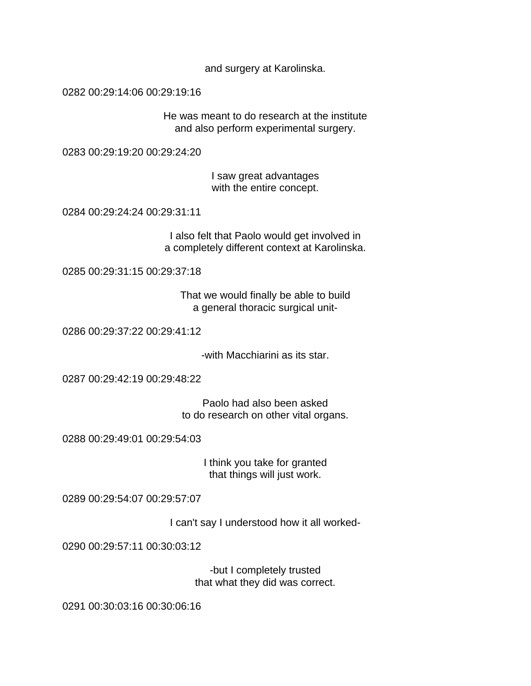and surgery at Karolinska.

0282 00:29:14:06 00:29:19:16

He was meant to do research at the institute and also perform experimental surgery.

0283 00:29:19:20 00:29:24:20

I saw great advantages with the entire concept.

0284 00:29:24:24 00:29:31:11

I also felt that Paolo would get involved in a completely different context at Karolinska.

0285 00:29:31:15 00:29:37:18

That we would finally be able to build a general thoracic surgical unit-

0286 00:29:37:22 00:29:41:12

-with Macchiarini as its star.

0287 00:29:42:19 00:29:48:22

Paolo had also been asked to do research on other vital organs.

0288 00:29:49:01 00:29:54:03

I think you take for granted that things will just work.

0289 00:29:54:07 00:29:57:07

I can't say I understood how it all worked-

0290 00:29:57:11 00:30:03:12

-but I completely trusted that what they did was correct.

0291 00:30:03:16 00:30:06:16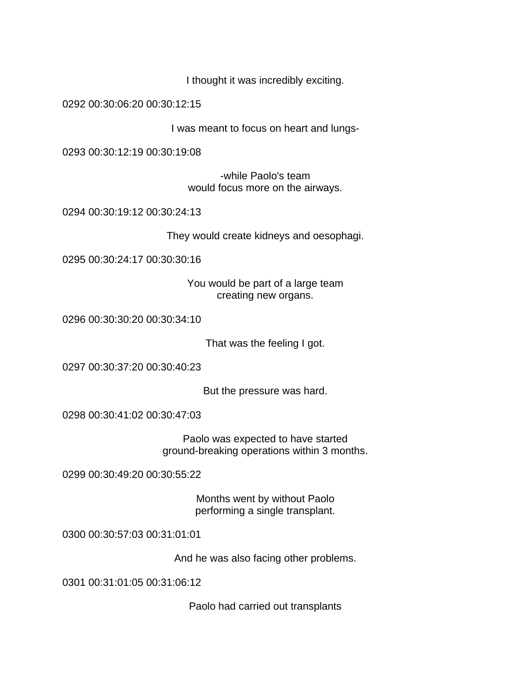I thought it was incredibly exciting.

0292 00:30:06:20 00:30:12:15

I was meant to focus on heart and lungs-

0293 00:30:12:19 00:30:19:08

-while Paolo's team would focus more on the airways.

0294 00:30:19:12 00:30:24:13

They would create kidneys and oesophagi.

0295 00:30:24:17 00:30:30:16

You would be part of a large team creating new organs.

0296 00:30:30:20 00:30:34:10

That was the feeling I got.

0297 00:30:37:20 00:30:40:23

But the pressure was hard.

0298 00:30:41:02 00:30:47:03

Paolo was expected to have started ground-breaking operations within 3 months.

0299 00:30:49:20 00:30:55:22

Months went by without Paolo performing a single transplant.

0300 00:30:57:03 00:31:01:01

And he was also facing other problems.

0301 00:31:01:05 00:31:06:12

Paolo had carried out transplants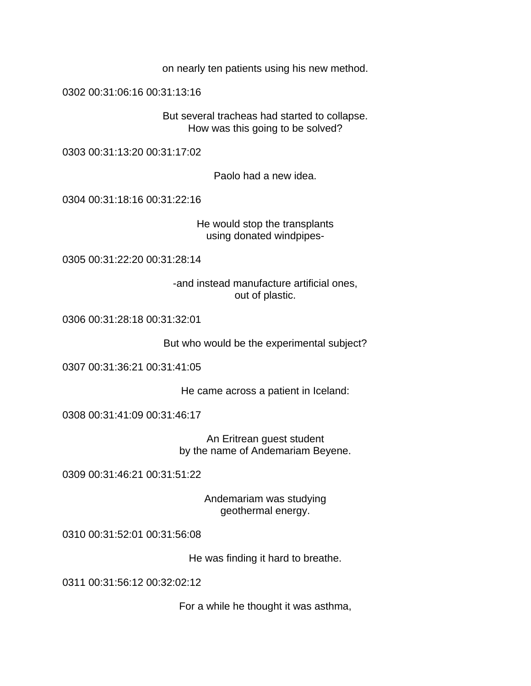on nearly ten patients using his new method.

0302 00:31:06:16 00:31:13:16

But several tracheas had started to collapse. How was this going to be solved?

0303 00:31:13:20 00:31:17:02

Paolo had a new idea.

0304 00:31:18:16 00:31:22:16

He would stop the transplants using donated windpipes-

0305 00:31:22:20 00:31:28:14

-and instead manufacture artificial ones, out of plastic.

0306 00:31:28:18 00:31:32:01

But who would be the experimental subject?

0307 00:31:36:21 00:31:41:05

He came across a patient in Iceland:

0308 00:31:41:09 00:31:46:17

An Eritrean guest student by the name of Andemariam Beyene.

0309 00:31:46:21 00:31:51:22

Andemariam was studying geothermal energy.

0310 00:31:52:01 00:31:56:08

He was finding it hard to breathe.

0311 00:31:56:12 00:32:02:12

For a while he thought it was asthma,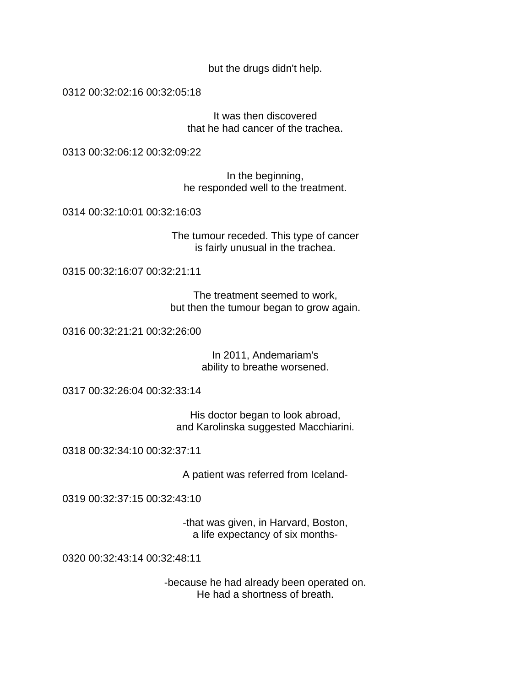but the drugs didn't help.

0312 00:32:02:16 00:32:05:18

It was then discovered that he had cancer of the trachea.

0313 00:32:06:12 00:32:09:22

In the beginning, he responded well to the treatment.

0314 00:32:10:01 00:32:16:03

The tumour receded. This type of cancer is fairly unusual in the trachea.

0315 00:32:16:07 00:32:21:11

The treatment seemed to work, but then the tumour began to grow again.

0316 00:32:21:21 00:32:26:00

In 2011, Andemariam's ability to breathe worsened.

0317 00:32:26:04 00:32:33:14

His doctor began to look abroad, and Karolinska suggested Macchiarini.

0318 00:32:34:10 00:32:37:11

A patient was referred from Iceland-

0319 00:32:37:15 00:32:43:10

-that was given, in Harvard, Boston, a life expectancy of six months-

0320 00:32:43:14 00:32:48:11

-because he had already been operated on. He had a shortness of breath.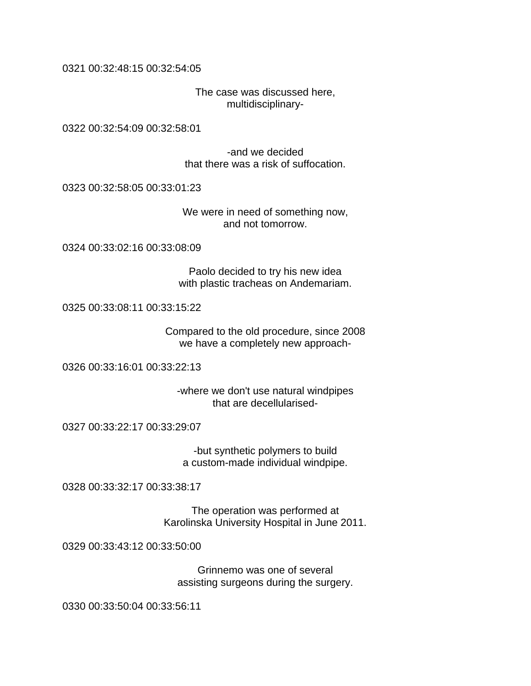0321 00:32:48:15 00:32:54:05

The case was discussed here, multidisciplinary-

0322 00:32:54:09 00:32:58:01

-and we decided that there was a risk of suffocation.

0323 00:32:58:05 00:33:01:23

We were in need of something now, and not tomorrow.

0324 00:33:02:16 00:33:08:09

Paolo decided to try his new idea with plastic tracheas on Andemariam.

0325 00:33:08:11 00:33:15:22

Compared to the old procedure, since 2008 we have a completely new approach-

0326 00:33:16:01 00:33:22:13

-where we don't use natural windpipes that are decellularised-

0327 00:33:22:17 00:33:29:07

-but synthetic polymers to build a custom-made individual windpipe.

0328 00:33:32:17 00:33:38:17

The operation was performed at Karolinska University Hospital in June 2011.

0329 00:33:43:12 00:33:50:00

Grinnemo was one of several assisting surgeons during the surgery.

0330 00:33:50:04 00:33:56:11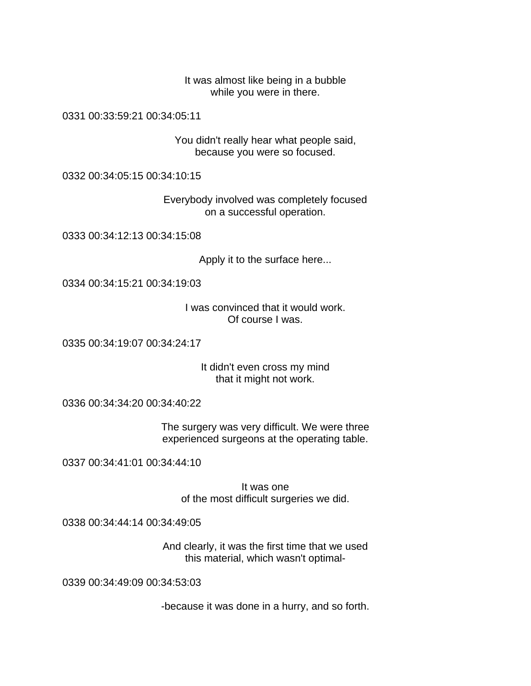It was almost like being in a bubble while you were in there.

0331 00:33:59:21 00:34:05:11

You didn't really hear what people said, because you were so focused.

0332 00:34:05:15 00:34:10:15

Everybody involved was completely focused on a successful operation.

0333 00:34:12:13 00:34:15:08

Apply it to the surface here...

0334 00:34:15:21 00:34:19:03

I was convinced that it would work. Of course I was.

0335 00:34:19:07 00:34:24:17

It didn't even cross my mind that it might not work.

0336 00:34:34:20 00:34:40:22

The surgery was very difficult. We were three experienced surgeons at the operating table.

0337 00:34:41:01 00:34:44:10

It was one of the most difficult surgeries we did.

0338 00:34:44:14 00:34:49:05

And clearly, it was the first time that we used this material, which wasn't optimal-

0339 00:34:49:09 00:34:53:03

-because it was done in a hurry, and so forth.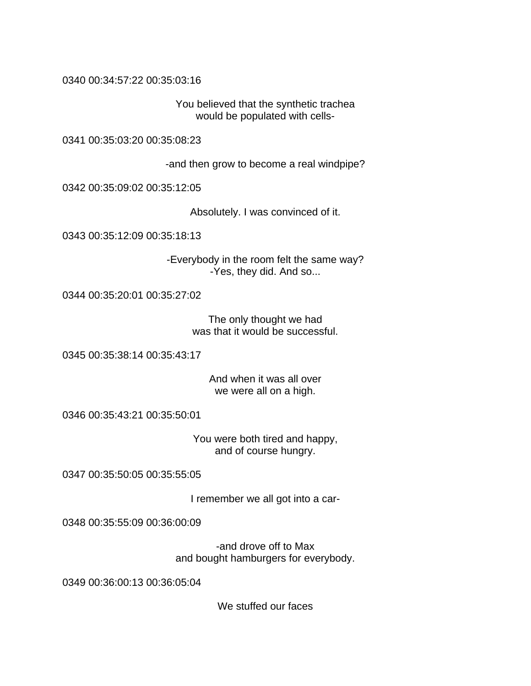0340 00:34:57:22 00:35:03:16

You believed that the synthetic trachea would be populated with cells-

0341 00:35:03:20 00:35:08:23

-and then grow to become a real windpipe?

0342 00:35:09:02 00:35:12:05

Absolutely. I was convinced of it.

0343 00:35:12:09 00:35:18:13

-Everybody in the room felt the same way? -Yes, they did. And so...

0344 00:35:20:01 00:35:27:02

The only thought we had was that it would be successful.

0345 00:35:38:14 00:35:43:17

And when it was all over we were all on a high.

0346 00:35:43:21 00:35:50:01

You were both tired and happy, and of course hungry.

0347 00:35:50:05 00:35:55:05

I remember we all got into a car-

0348 00:35:55:09 00:36:00:09

-and drove off to Max and bought hamburgers for everybody.

0349 00:36:00:13 00:36:05:04

We stuffed our faces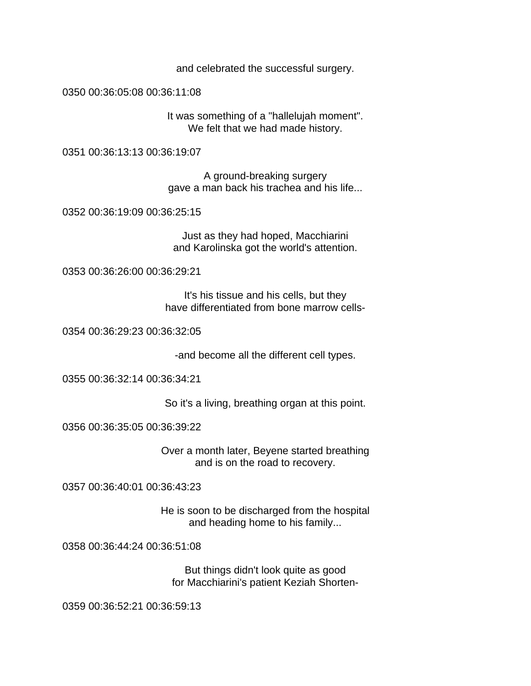and celebrated the successful surgery.

0350 00:36:05:08 00:36:11:08

It was something of a "hallelujah moment". We felt that we had made history.

0351 00:36:13:13 00:36:19:07

A ground-breaking surgery gave a man back his trachea and his life...

0352 00:36:19:09 00:36:25:15

Just as they had hoped, Macchiarini and Karolinska got the world's attention.

0353 00:36:26:00 00:36:29:21

It's his tissue and his cells, but they have differentiated from bone marrow cells-

0354 00:36:29:23 00:36:32:05

-and become all the different cell types.

0355 00:36:32:14 00:36:34:21

So it's a living, breathing organ at this point.

0356 00:36:35:05 00:36:39:22

Over a month later, Beyene started breathing and is on the road to recovery.

0357 00:36:40:01 00:36:43:23

He is soon to be discharged from the hospital and heading home to his family...

0358 00:36:44:24 00:36:51:08

But things didn't look quite as good for Macchiarini's patient Keziah Shorten-

0359 00:36:52:21 00:36:59:13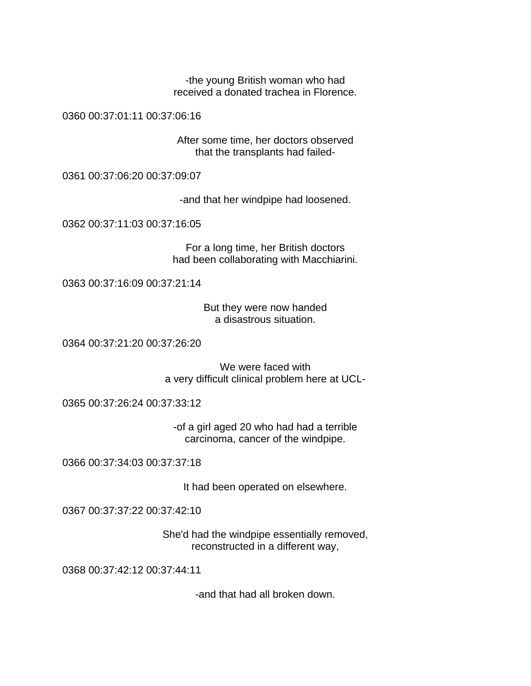-the young British woman who had received a donated trachea in Florence.

0360 00:37:01:11 00:37:06:16

After some time, her doctors observed that the transplants had failed-

0361 00:37:06:20 00:37:09:07

-and that her windpipe had loosened.

0362 00:37:11:03 00:37:16:05

For a long time, her British doctors had been collaborating with Macchiarini.

0363 00:37:16:09 00:37:21:14

But they were now handed a disastrous situation.

0364 00:37:21:20 00:37:26:20

We were faced with a very difficult clinical problem here at UCL-

0365 00:37:26:24 00:37:33:12

-of a girl aged 20 who had had a terrible carcinoma, cancer of the windpipe.

0366 00:37:34:03 00:37:37:18

It had been operated on elsewhere.

0367 00:37:37:22 00:37:42:10

She'd had the windpipe essentially removed, reconstructed in a different way,

0368 00:37:42:12 00:37:44:11

-and that had all broken down.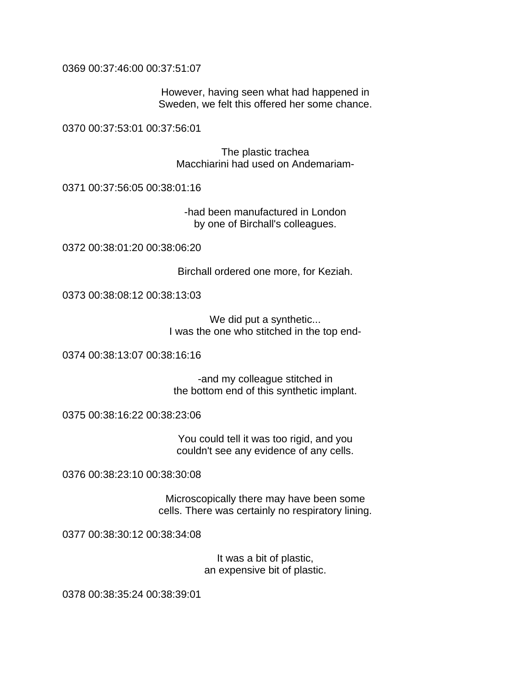0369 00:37:46:00 00:37:51:07

However, having seen what had happened in Sweden, we felt this offered her some chance.

0370 00:37:53:01 00:37:56:01

The plastic trachea Macchiarini had used on Andemariam-

0371 00:37:56:05 00:38:01:16

-had been manufactured in London by one of Birchall's colleagues.

0372 00:38:01:20 00:38:06:20

Birchall ordered one more, for Keziah.

0373 00:38:08:12 00:38:13:03

We did put a synthetic... I was the one who stitched in the top end-

0374 00:38:13:07 00:38:16:16

-and my colleague stitched in the bottom end of this synthetic implant.

0375 00:38:16:22 00:38:23:06

You could tell it was too rigid, and you couldn't see any evidence of any cells.

0376 00:38:23:10 00:38:30:08

Microscopically there may have been some cells. There was certainly no respiratory lining.

0377 00:38:30:12 00:38:34:08

It was a bit of plastic, an expensive bit of plastic.

0378 00:38:35:24 00:38:39:01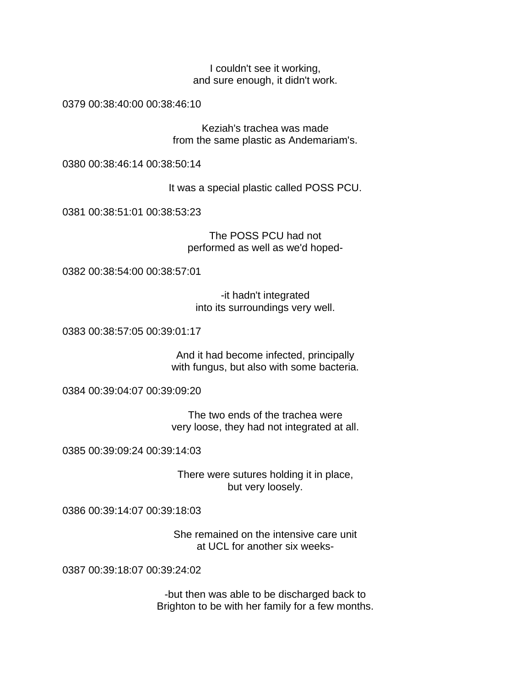I couldn't see it working, and sure enough, it didn't work.

0379 00:38:40:00 00:38:46:10

Keziah's trachea was made from the same plastic as Andemariam's.

0380 00:38:46:14 00:38:50:14

It was a special plastic called POSS PCU.

0381 00:38:51:01 00:38:53:23

The POSS PCU had not performed as well as we'd hoped-

0382 00:38:54:00 00:38:57:01

-it hadn't integrated into its surroundings very well.

0383 00:38:57:05 00:39:01:17

And it had become infected, principally with fungus, but also with some bacteria.

0384 00:39:04:07 00:39:09:20

The two ends of the trachea were very loose, they had not integrated at all.

0385 00:39:09:24 00:39:14:03

There were sutures holding it in place, but very loosely.

0386 00:39:14:07 00:39:18:03

She remained on the intensive care unit at UCL for another six weeks-

0387 00:39:18:07 00:39:24:02

-but then was able to be discharged back to Brighton to be with her family for a few months.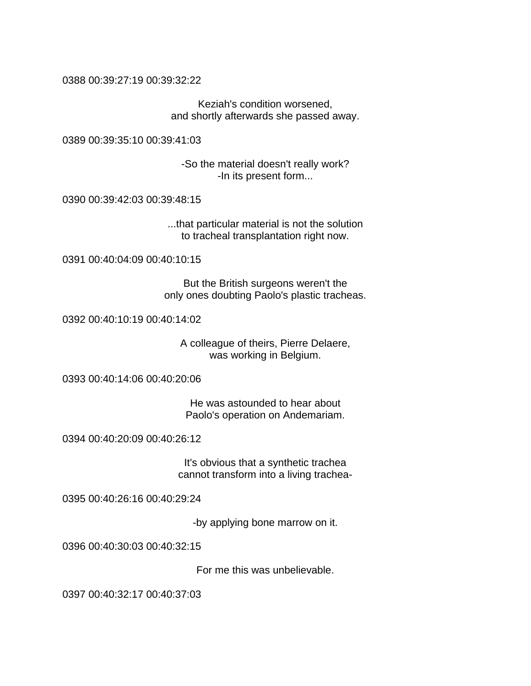0388 00:39:27:19 00:39:32:22

Keziah's condition worsened, and shortly afterwards she passed away.

0389 00:39:35:10 00:39:41:03

-So the material doesn't really work? -In its present form...

0390 00:39:42:03 00:39:48:15

...that particular material is not the solution to tracheal transplantation right now.

0391 00:40:04:09 00:40:10:15

But the British surgeons weren't the only ones doubting Paolo's plastic tracheas.

0392 00:40:10:19 00:40:14:02

A colleague of theirs, Pierre Delaere, was working in Belgium.

0393 00:40:14:06 00:40:20:06

He was astounded to hear about Paolo's operation on Andemariam.

0394 00:40:20:09 00:40:26:12

It's obvious that a synthetic trachea cannot transform into a living trachea-

0395 00:40:26:16 00:40:29:24

-by applying bone marrow on it.

0396 00:40:30:03 00:40:32:15

For me this was unbelievable.

0397 00:40:32:17 00:40:37:03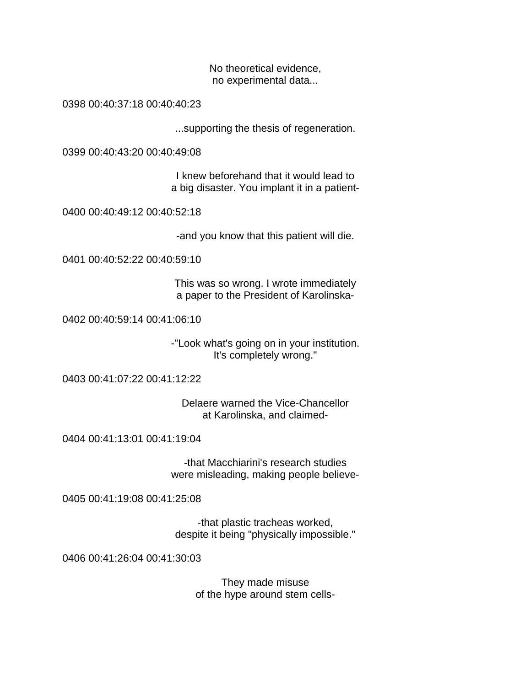No theoretical evidence, no experimental data...

0398 00:40:37:18 00:40:40:23

...supporting the thesis of regeneration.

0399 00:40:43:20 00:40:49:08

I knew beforehand that it would lead to a big disaster. You implant it in a patient-

0400 00:40:49:12 00:40:52:18

-and you know that this patient will die.

0401 00:40:52:22 00:40:59:10

This was so wrong. I wrote immediately a paper to the President of Karolinska-

0402 00:40:59:14 00:41:06:10

-"Look what's going on in your institution. It's completely wrong."

0403 00:41:07:22 00:41:12:22

Delaere warned the Vice-Chancellor at Karolinska, and claimed-

0404 00:41:13:01 00:41:19:04

-that Macchiarini's research studies were misleading, making people believe-

0405 00:41:19:08 00:41:25:08

-that plastic tracheas worked, despite it being "physically impossible."

0406 00:41:26:04 00:41:30:03

They made misuse of the hype around stem cells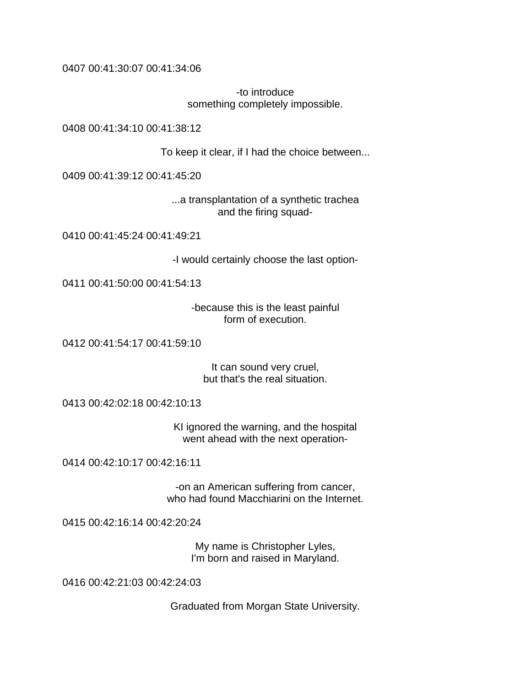0407 00:41:30:07 00:41:34:06

-to introduce something completely impossible.

0408 00:41:34:10 00:41:38:12

To keep it clear, if I had the choice between...

0409 00:41:39:12 00:41:45:20

...a transplantation of a synthetic trachea and the firing squad-

0410 00:41:45:24 00:41:49:21

-I would certainly choose the last option-

0411 00:41:50:00 00:41:54:13

-because this is the least painful form of execution.

0412 00:41:54:17 00:41:59:10

It can sound very cruel, but that's the real situation.

0413 00:42:02:18 00:42:10:13

KI ignored the warning, and the hospital went ahead with the next operation-

0414 00:42:10:17 00:42:16:11

-on an American suffering from cancer, who had found Macchiarini on the Internet.

0415 00:42:16:14 00:42:20:24

My name is Christopher Lyles, I'm born and raised in Maryland.

0416 00:42:21:03 00:42:24:03

Graduated from Morgan State University.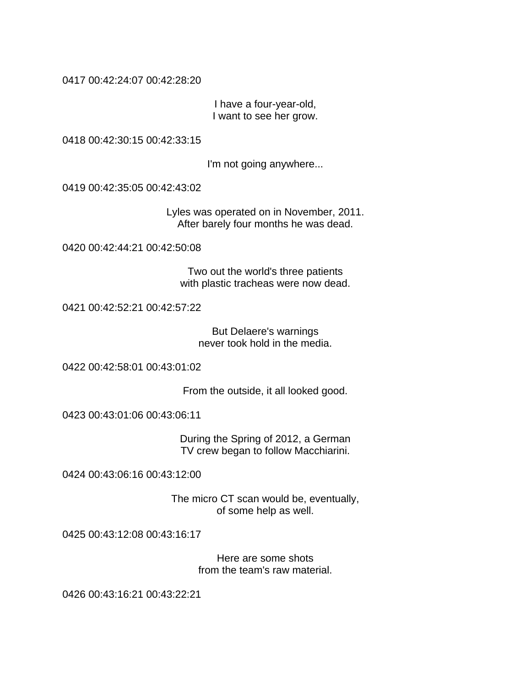0417 00:42:24:07 00:42:28:20

I have a four-year-old, I want to see her grow.

0418 00:42:30:15 00:42:33:15

I'm not going anywhere...

0419 00:42:35:05 00:42:43:02

Lyles was operated on in November, 2011. After barely four months he was dead.

0420 00:42:44:21 00:42:50:08

Two out the world's three patients with plastic tracheas were now dead.

0421 00:42:52:21 00:42:57:22

But Delaere's warnings never took hold in the media.

0422 00:42:58:01 00:43:01:02

From the outside, it all looked good.

0423 00:43:01:06 00:43:06:11

During the Spring of 2012, a German TV crew began to follow Macchiarini.

0424 00:43:06:16 00:43:12:00

The micro CT scan would be, eventually, of some help as well.

0425 00:43:12:08 00:43:16:17

Here are some shots from the team's raw material.

0426 00:43:16:21 00:43:22:21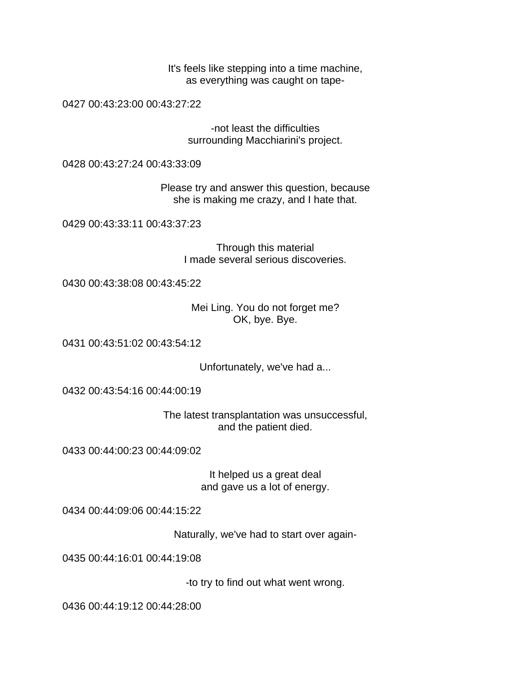It's feels like stepping into a time machine, as everything was caught on tape-

0427 00:43:23:00 00:43:27:22

-not least the difficulties surrounding Macchiarini's project.

0428 00:43:27:24 00:43:33:09

Please try and answer this question, because she is making me crazy, and I hate that.

0429 00:43:33:11 00:43:37:23

Through this material I made several serious discoveries.

0430 00:43:38:08 00:43:45:22

Mei Ling. You do not forget me? OK, bye. Bye.

0431 00:43:51:02 00:43:54:12

Unfortunately, we've had a...

0432 00:43:54:16 00:44:00:19

The latest transplantation was unsuccessful, and the patient died.

0433 00:44:00:23 00:44:09:02

It helped us a great deal and gave us a lot of energy.

0434 00:44:09:06 00:44:15:22

Naturally, we've had to start over again-

0435 00:44:16:01 00:44:19:08

-to try to find out what went wrong.

0436 00:44:19:12 00:44:28:00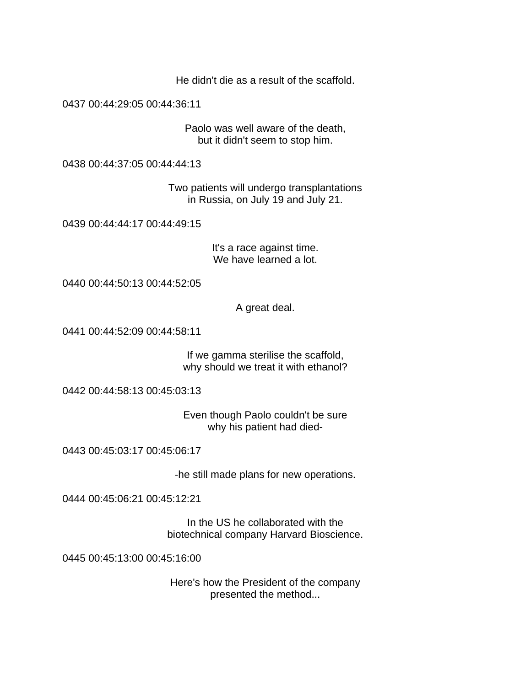He didn't die as a result of the scaffold.

0437 00:44:29:05 00:44:36:11

Paolo was well aware of the death, but it didn't seem to stop him.

0438 00:44:37:05 00:44:44:13

Two patients will undergo transplantations in Russia, on July 19 and July 21.

0439 00:44:44:17 00:44:49:15

It's a race against time. We have learned a lot.

0440 00:44:50:13 00:44:52:05

A great deal.

0441 00:44:52:09 00:44:58:11

If we gamma sterilise the scaffold, why should we treat it with ethanol?

0442 00:44:58:13 00:45:03:13

Even though Paolo couldn't be sure why his patient had died-

0443 00:45:03:17 00:45:06:17

-he still made plans for new operations.

0444 00:45:06:21 00:45:12:21

In the US he collaborated with the biotechnical company Harvard Bioscience.

0445 00:45:13:00 00:45:16:00

Here's how the President of the company presented the method...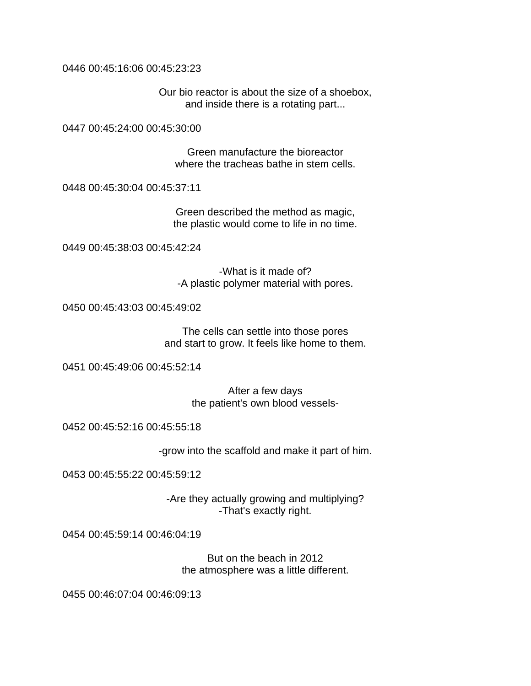0446 00:45:16:06 00:45:23:23

Our bio reactor is about the size of a shoebox, and inside there is a rotating part...

0447 00:45:24:00 00:45:30:00

Green manufacture the bioreactor where the tracheas bathe in stem cells.

0448 00:45:30:04 00:45:37:11

Green described the method as magic, the plastic would come to life in no time.

0449 00:45:38:03 00:45:42:24

-What is it made of? -A plastic polymer material with pores.

0450 00:45:43:03 00:45:49:02

The cells can settle into those pores and start to grow. It feels like home to them.

0451 00:45:49:06 00:45:52:14

After a few days the patient's own blood vessels-

0452 00:45:52:16 00:45:55:18

-grow into the scaffold and make it part of him.

0453 00:45:55:22 00:45:59:12

-Are they actually growing and multiplying? -That's exactly right.

0454 00:45:59:14 00:46:04:19

But on the beach in 2012 the atmosphere was a little different.

0455 00:46:07:04 00:46:09:13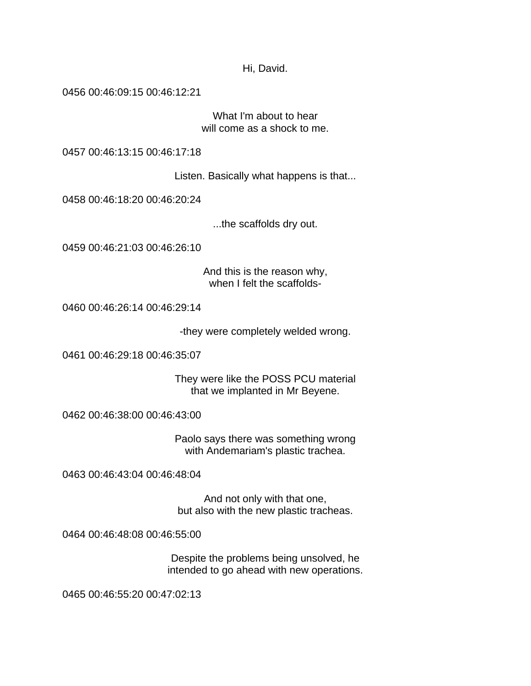Hi, David.

0456 00:46:09:15 00:46:12:21

What I'm about to hear will come as a shock to me.

0457 00:46:13:15 00:46:17:18

Listen. Basically what happens is that...

0458 00:46:18:20 00:46:20:24

...the scaffolds dry out.

0459 00:46:21:03 00:46:26:10

And this is the reason why, when I felt the scaffolds-

0460 00:46:26:14 00:46:29:14

-they were completely welded wrong.

0461 00:46:29:18 00:46:35:07

They were like the POSS PCU material that we implanted in Mr Beyene.

0462 00:46:38:00 00:46:43:00

Paolo says there was something wrong with Andemariam's plastic trachea.

0463 00:46:43:04 00:46:48:04

And not only with that one, but also with the new plastic tracheas.

0464 00:46:48:08 00:46:55:00

Despite the problems being unsolved, he intended to go ahead with new operations.

0465 00:46:55:20 00:47:02:13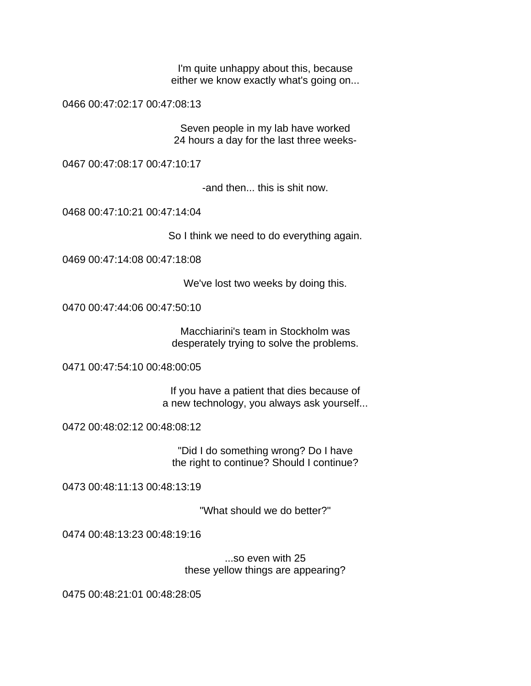I'm quite unhappy about this, because either we know exactly what's going on...

0466 00:47:02:17 00:47:08:13

Seven people in my lab have worked 24 hours a day for the last three weeks-

0467 00:47:08:17 00:47:10:17

-and then... this is shit now.

0468 00:47:10:21 00:47:14:04

So I think we need to do everything again.

0469 00:47:14:08 00:47:18:08

We've lost two weeks by doing this.

0470 00:47:44:06 00:47:50:10

Macchiarini's team in Stockholm was desperately trying to solve the problems.

0471 00:47:54:10 00:48:00:05

If you have a patient that dies because of a new technology, you always ask yourself...

0472 00:48:02:12 00:48:08:12

"Did I do something wrong? Do I have the right to continue? Should I continue?

0473 00:48:11:13 00:48:13:19

"What should we do better?"

0474 00:48:13:23 00:48:19:16

...so even with 25 these yellow things are appearing?

0475 00:48:21:01 00:48:28:05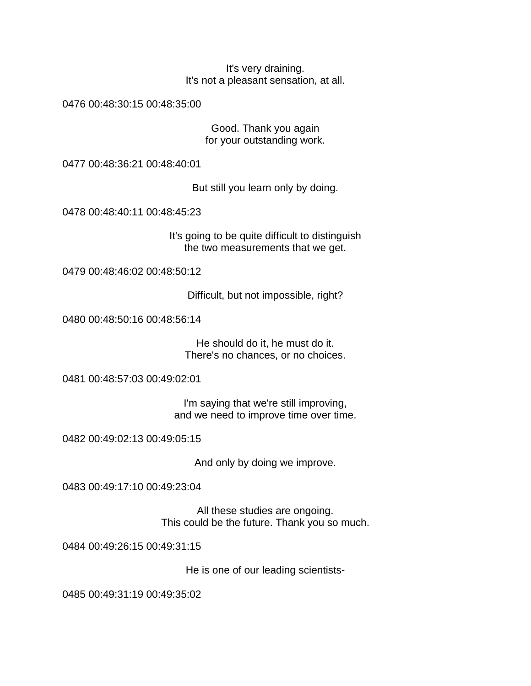It's very draining. It's not a pleasant sensation, at all.

0476 00:48:30:15 00:48:35:00

Good. Thank you again for your outstanding work.

0477 00:48:36:21 00:48:40:01

But still you learn only by doing.

0478 00:48:40:11 00:48:45:23

It's going to be quite difficult to distinguish the two measurements that we get.

0479 00:48:46:02 00:48:50:12

Difficult, but not impossible, right?

0480 00:48:50:16 00:48:56:14

He should do it, he must do it. There's no chances, or no choices.

0481 00:48:57:03 00:49:02:01

I'm saying that we're still improving, and we need to improve time over time.

0482 00:49:02:13 00:49:05:15

And only by doing we improve.

0483 00:49:17:10 00:49:23:04

All these studies are ongoing. This could be the future. Thank you so much.

0484 00:49:26:15 00:49:31:15

He is one of our leading scientists-

0485 00:49:31:19 00:49:35:02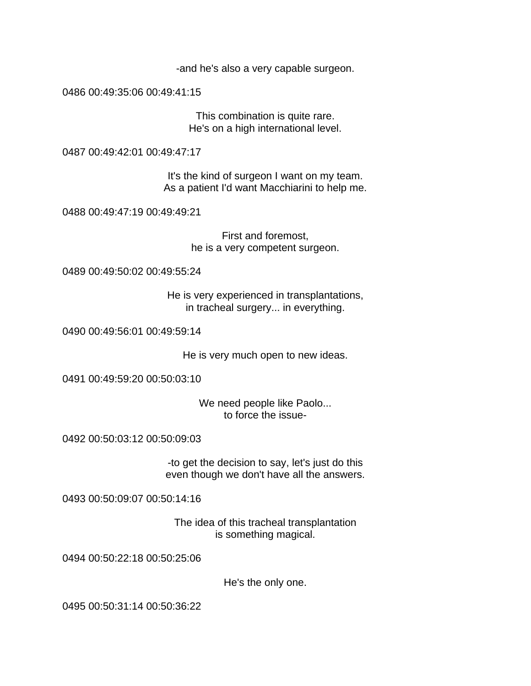-and he's also a very capable surgeon.

0486 00:49:35:06 00:49:41:15

This combination is quite rare. He's on a high international level.

0487 00:49:42:01 00:49:47:17

It's the kind of surgeon I want on my team. As a patient I'd want Macchiarini to help me.

0488 00:49:47:19 00:49:49:21

First and foremost, he is a very competent surgeon.

0489 00:49:50:02 00:49:55:24

He is very experienced in transplantations, in tracheal surgery... in everything.

0490 00:49:56:01 00:49:59:14

He is very much open to new ideas.

0491 00:49:59:20 00:50:03:10

We need people like Paolo... to force the issue-

0492 00:50:03:12 00:50:09:03

-to get the decision to say, let's just do this even though we don't have all the answers.

0493 00:50:09:07 00:50:14:16

The idea of this tracheal transplantation is something magical.

0494 00:50:22:18 00:50:25:06

He's the only one.

0495 00:50:31:14 00:50:36:22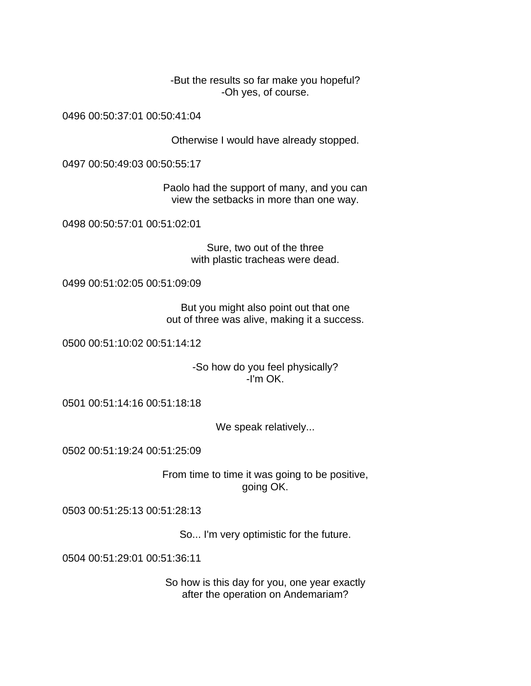-But the results so far make you hopeful? -Oh yes, of course.

0496 00:50:37:01 00:50:41:04

Otherwise I would have already stopped.

0497 00:50:49:03 00:50:55:17

Paolo had the support of many, and you can view the setbacks in more than one way.

0498 00:50:57:01 00:51:02:01

Sure, two out of the three with plastic tracheas were dead.

0499 00:51:02:05 00:51:09:09

But you might also point out that one out of three was alive, making it a success.

0500 00:51:10:02 00:51:14:12

-So how do you feel physically? -I'm OK.

0501 00:51:14:16 00:51:18:18

We speak relatively...

0502 00:51:19:24 00:51:25:09

From time to time it was going to be positive, going OK.

0503 00:51:25:13 00:51:28:13

So... I'm very optimistic for the future.

0504 00:51:29:01 00:51:36:11

So how is this day for you, one year exactly after the operation on Andemariam?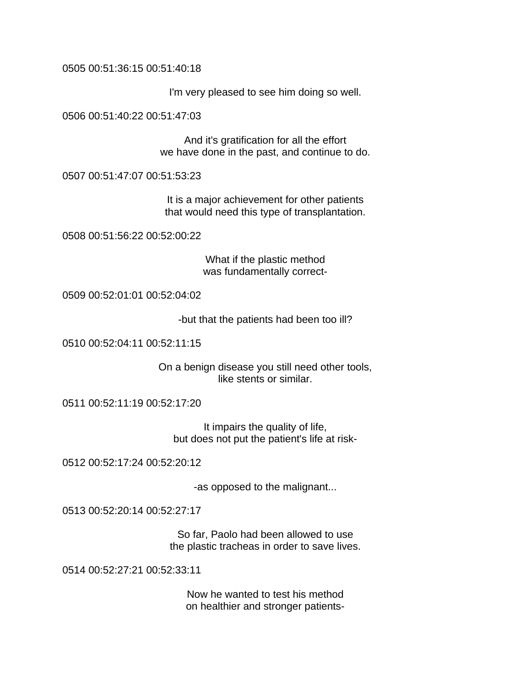0505 00:51:36:15 00:51:40:18

I'm very pleased to see him doing so well.

0506 00:51:40:22 00:51:47:03

And it's gratification for all the effort we have done in the past, and continue to do.

0507 00:51:47:07 00:51:53:23

It is a major achievement for other patients that would need this type of transplantation.

0508 00:51:56:22 00:52:00:22

What if the plastic method was fundamentally correct-

0509 00:52:01:01 00:52:04:02

-but that the patients had been too ill?

0510 00:52:04:11 00:52:11:15

On a benign disease you still need other tools, like stents or similar.

0511 00:52:11:19 00:52:17:20

It impairs the quality of life, but does not put the patient's life at risk-

0512 00:52:17:24 00:52:20:12

-as opposed to the malignant...

0513 00:52:20:14 00:52:27:17

So far, Paolo had been allowed to use the plastic tracheas in order to save lives.

0514 00:52:27:21 00:52:33:11

Now he wanted to test his method on healthier and stronger patients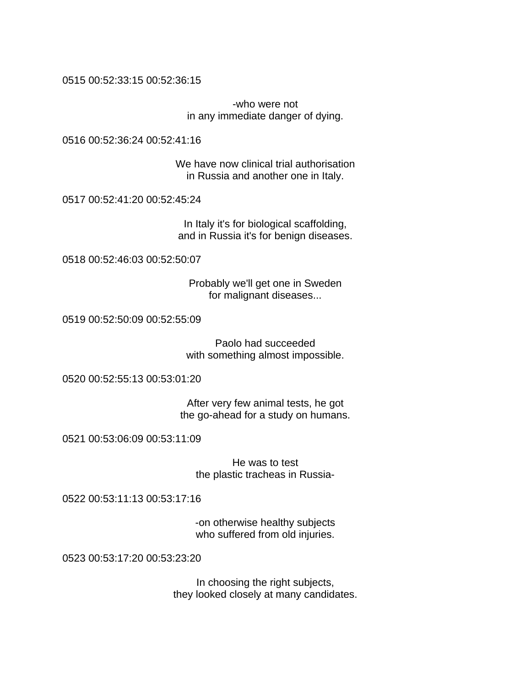0515 00:52:33:15 00:52:36:15

-who were not in any immediate danger of dying.

0516 00:52:36:24 00:52:41:16

We have now clinical trial authorisation in Russia and another one in Italy.

0517 00:52:41:20 00:52:45:24

In Italy it's for biological scaffolding, and in Russia it's for benign diseases.

0518 00:52:46:03 00:52:50:07

Probably we'll get one in Sweden for malignant diseases...

0519 00:52:50:09 00:52:55:09

Paolo had succeeded with something almost impossible.

0520 00:52:55:13 00:53:01:20

After very few animal tests, he got the go-ahead for a study on humans.

0521 00:53:06:09 00:53:11:09

He was to test the plastic tracheas in Russia-

0522 00:53:11:13 00:53:17:16

-on otherwise healthy subjects who suffered from old injuries.

0523 00:53:17:20 00:53:23:20

In choosing the right subjects, they looked closely at many candidates.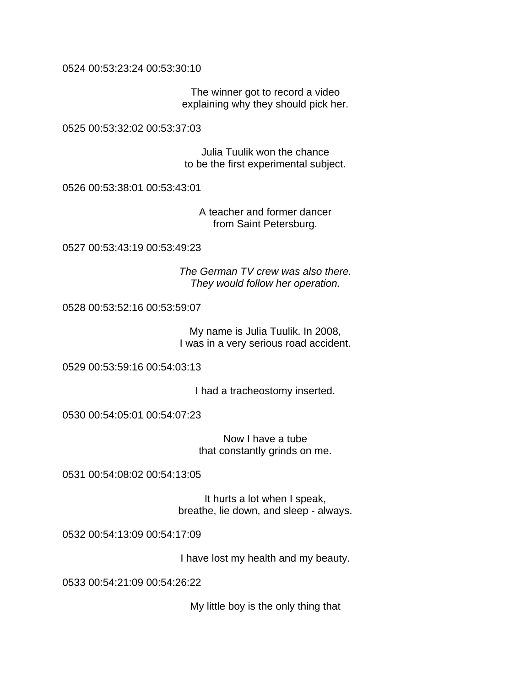0524 00:53:23:24 00:53:30:10

The winner got to record a video explaining why they should pick her.

0525 00:53:32:02 00:53:37:03

Julia Tuulik won the chance to be the first experimental subject.

0526 00:53:38:01 00:53:43:01

A teacher and former dancer from Saint Petersburg.

0527 00:53:43:19 00:53:49:23

*The German TV crew was also there. They would follow her operation.* 

0528 00:53:52:16 00:53:59:07

My name is Julia Tuulik. In 2008, I was in a very serious road accident.

0529 00:53:59:16 00:54:03:13

I had a tracheostomy inserted.

0530 00:54:05:01 00:54:07:23

Now I have a tube that constantly grinds on me.

0531 00:54:08:02 00:54:13:05

It hurts a lot when I speak, breathe, lie down, and sleep - always.

0532 00:54:13:09 00:54:17:09

I have lost my health and my beauty.

0533 00:54:21:09 00:54:26:22

My little boy is the only thing that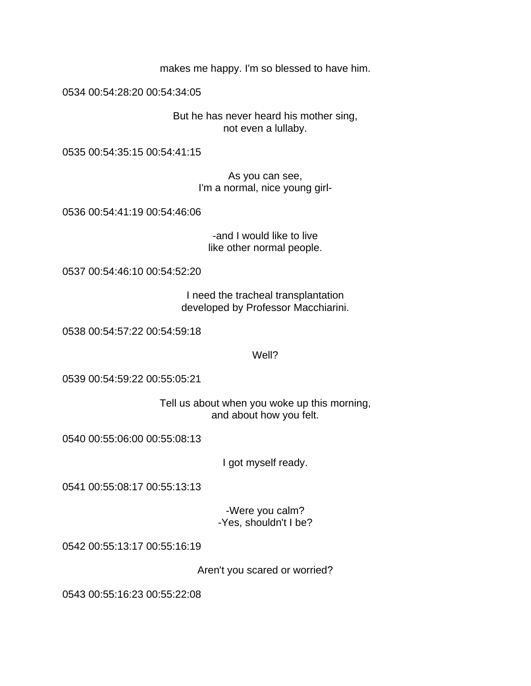makes me happy. I'm so blessed to have him.

0534 00:54:28:20 00:54:34:05

But he has never heard his mother sing, not even a lullaby.

0535 00:54:35:15 00:54:41:15

As you can see, I'm a normal, nice young girl-

0536 00:54:41:19 00:54:46:06

-and I would like to live like other normal people.

0537 00:54:46:10 00:54:52:20

I need the tracheal transplantation developed by Professor Macchiarini.

0538 00:54:57:22 00:54:59:18

Well?

0539 00:54:59:22 00:55:05:21

Tell us about when you woke up this morning, and about how you felt.

0540 00:55:06:00 00:55:08:13

I got myself ready.

0541 00:55:08:17 00:55:13:13

-Were you calm? -Yes, shouldn't I be?

0542 00:55:13:17 00:55:16:19

Aren't you scared or worried?

0543 00:55:16:23 00:55:22:08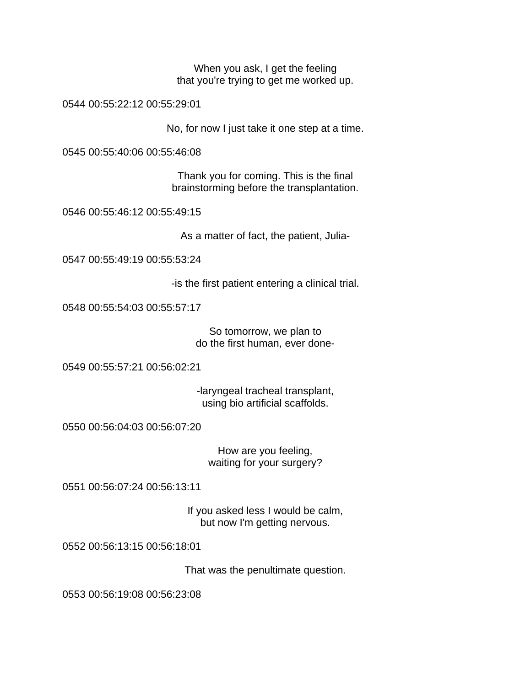When you ask, I get the feeling that you're trying to get me worked up.

0544 00:55:22:12 00:55:29:01

No, for now I just take it one step at a time.

0545 00:55:40:06 00:55:46:08

Thank you for coming. This is the final brainstorming before the transplantation.

0546 00:55:46:12 00:55:49:15

As a matter of fact, the patient, Julia-

0547 00:55:49:19 00:55:53:24

-is the first patient entering a clinical trial.

0548 00:55:54:03 00:55:57:17

So tomorrow, we plan to do the first human, ever done-

0549 00:55:57:21 00:56:02:21

-laryngeal tracheal transplant, using bio artificial scaffolds.

0550 00:56:04:03 00:56:07:20

How are you feeling, waiting for your surgery?

0551 00:56:07:24 00:56:13:11

If you asked less I would be calm, but now I'm getting nervous.

0552 00:56:13:15 00:56:18:01

That was the penultimate question.

0553 00:56:19:08 00:56:23:08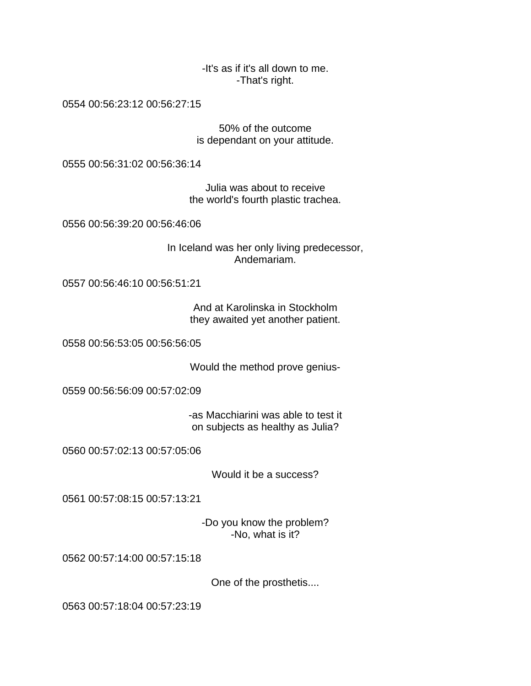-It's as if it's all down to me. -That's right.

0554 00:56:23:12 00:56:27:15

50% of the outcome is dependant on your attitude.

0555 00:56:31:02 00:56:36:14

Julia was about to receive the world's fourth plastic trachea.

0556 00:56:39:20 00:56:46:06

In Iceland was her only living predecessor, Andemariam.

0557 00:56:46:10 00:56:51:21

And at Karolinska in Stockholm they awaited yet another patient.

0558 00:56:53:05 00:56:56:05

Would the method prove genius-

0559 00:56:56:09 00:57:02:09

-as Macchiarini was able to test it on subjects as healthy as Julia?

0560 00:57:02:13 00:57:05:06

Would it be a success?

0561 00:57:08:15 00:57:13:21

-Do you know the problem? -No, what is it?

0562 00:57:14:00 00:57:15:18

One of the prosthetis....

0563 00:57:18:04 00:57:23:19